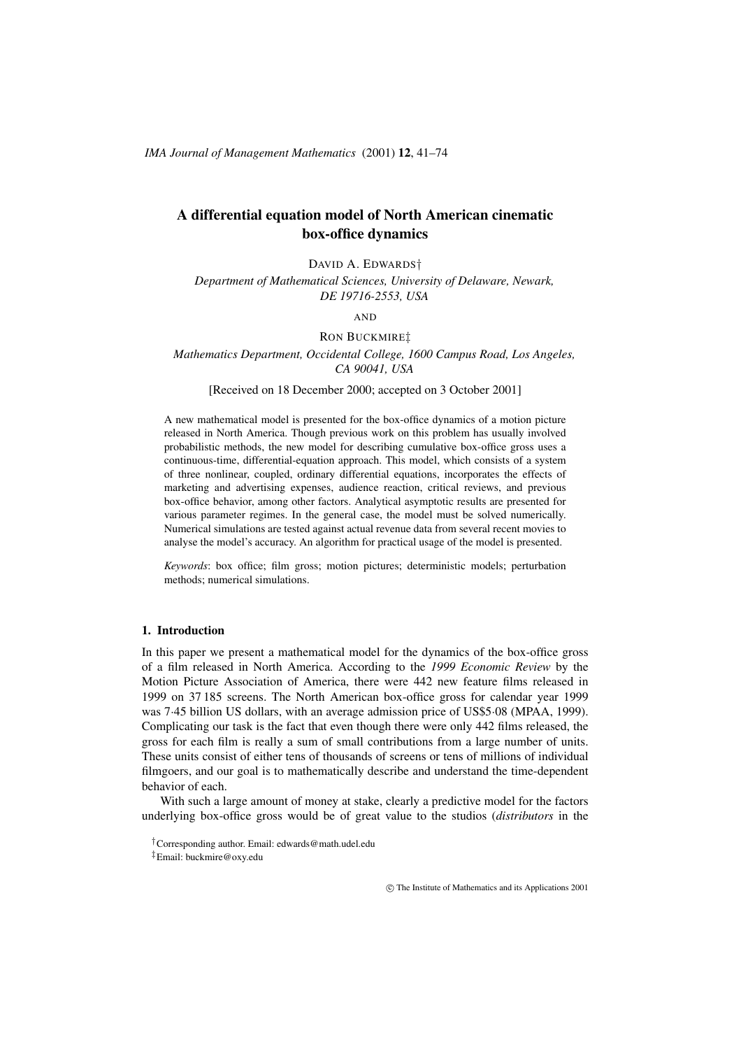*IMA Journal of Management Mathematics* (2001) **12**, 41–74

# **A differential equation model of North American cinematic box-office dynamics**

DAVID A. EDWARDS†

*Department of Mathematical Sciences, University of Delaware, Newark, DE 19716-2553, USA*

AND

### RON BUCKMIRE‡

*Mathematics Department, Occidental College, 1600 Campus Road, Los Angeles, CA 90041, USA*

[Received on 18 December 2000; accepted on 3 October 2001]

A new mathematical model is presented for the box-office dynamics of a motion picture released in North America. Though previous work on this problem has usually involved probabilistic methods, the new model for describing cumulative box-office gross uses a continuous-time, differential-equation approach. This model, which consists of a system of three nonlinear, coupled, ordinary differential equations, incorporates the effects of marketing and advertising expenses, audience reaction, critical reviews, and previous box-office behavior, among other factors. Analytical asymptotic results are presented for various parameter regimes. In the general case, the model must be solved numerically. Numerical simulations are tested against actual revenue data from several recent movies to analyse the model's accuracy. An algorithm for practical usage of the model is presented.

*Keywords*: box office; film gross; motion pictures; deterministic models; perturbation methods; numerical simulations.

#### **1. Introduction**

In this paper we present a mathematical model for the dynamics of the box-office gross of a film released in North America. According to the *1999 Economic Review* by the Motion Picture Association of America, there were 442 new feature films released in 1999 on 37 185 screens. The North American box-office gross for calendar year 1999 was 7·45 billion US dollars, with an average admission price of US\$5·08 (MPAA, 1999). Complicating our task is the fact that even though there were only 442 films released, the gross for each film is really a sum of small contributions from a large number of units. These units consist of either tens of thousands of screens or tens of millions of individual filmgoers, and our goal is to mathematically describe and understand the time-dependent behavior of each.

With such a large amount of money at stake, clearly a predictive model for the factors underlying box-office gross would be of great value to the studios (*distributors* in the

<sup>†</sup>Corresponding author. Email: edwards@math.udel.edu

<sup>‡</sup>Email: buckmire@oxy.edu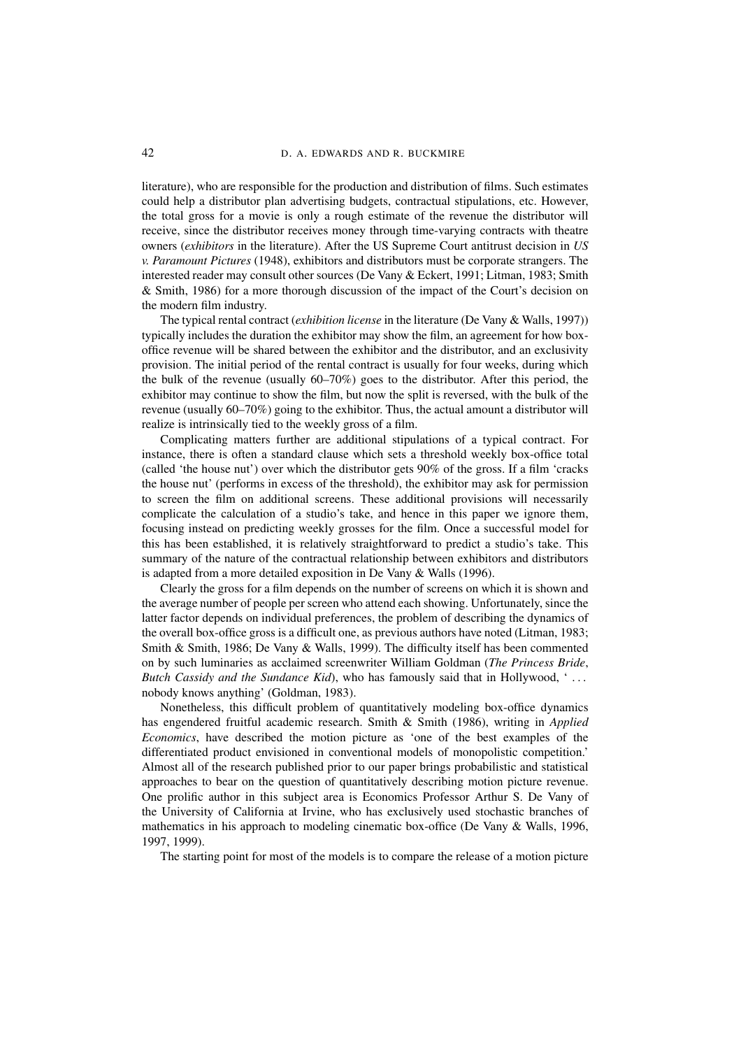literature), who are responsible for the production and distribution of films. Such estimates could help a distributor plan advertising budgets, contractual stipulations, etc. However, the total gross for a movie is only a rough estimate of the revenue the distributor will receive, since the distributor receives money through time-varying contracts with theatre owners (*exhibitors* in the literature). After the US Supreme Court antitrust decision in *US v. Paramount Pictures* (1948), exhibitors and distributors must be corporate strangers. The interested reader may consult other sources (De Vany & Eckert, 1991; Litman, 1983; Smith & Smith, 1986) for a more thorough discussion of the impact of the Court's decision on the modern film industry.

The typical rental contract (*exhibition license* in the literature (De Vany & Walls, 1997)) typically includes the duration the exhibitor may show the film, an agreement for how boxoffice revenue will be shared between the exhibitor and the distributor, and an exclusivity provision. The initial period of the rental contract is usually for four weeks, during which the bulk of the revenue (usually 60–70%) goes to the distributor. After this period, the exhibitor may continue to show the film, but now the split is reversed, with the bulk of the revenue (usually 60–70%) going to the exhibitor. Thus, the actual amount a distributor will realize is intrinsically tied to the weekly gross of a film.

Complicating matters further are additional stipulations of a typical contract. For instance, there is often a standard clause which sets a threshold weekly box-office total (called 'the house nut') over which the distributor gets 90% of the gross. If a film 'cracks the house nut' (performs in excess of the threshold), the exhibitor may ask for permission to screen the film on additional screens. These additional provisions will necessarily complicate the calculation of a studio's take, and hence in this paper we ignore them, focusing instead on predicting weekly grosses for the film. Once a successful model for this has been established, it is relatively straightforward to predict a studio's take. This summary of the nature of the contractual relationship between exhibitors and distributors is adapted from a more detailed exposition in De Vany & Walls (1996).

Clearly the gross for a film depends on the number of screens on which it is shown and the average number of people per screen who attend each showing. Unfortunately, since the latter factor depends on individual preferences, the problem of describing the dynamics of the overall box-office gross is a difficult one, as previous authors have noted (Litman, 1983; Smith & Smith, 1986; De Vany & Walls, 1999). The difficulty itself has been commented on by such luminaries as acclaimed screenwriter William Goldman (*The Princess Bride*, *Butch Cassidy and the Sundance Kid*), who has famously said that in Hollywood, ' ... nobody knows anything' (Goldman, 1983).

Nonetheless, this difficult problem of quantitatively modeling box-office dynamics has engendered fruitful academic research. Smith & Smith (1986), writing in *Applied Economics*, have described the motion picture as 'one of the best examples of the differentiated product envisioned in conventional models of monopolistic competition.' Almost all of the research published prior to our paper brings probabilistic and statistical approaches to bear on the question of quantitatively describing motion picture revenue. One prolific author in this subject area is Economics Professor Arthur S. De Vany of the University of California at Irvine, who has exclusively used stochastic branches of mathematics in his approach to modeling cinematic box-office (De Vany & Walls, 1996, 1997, 1999).

The starting point for most of the models is to compare the release of a motion picture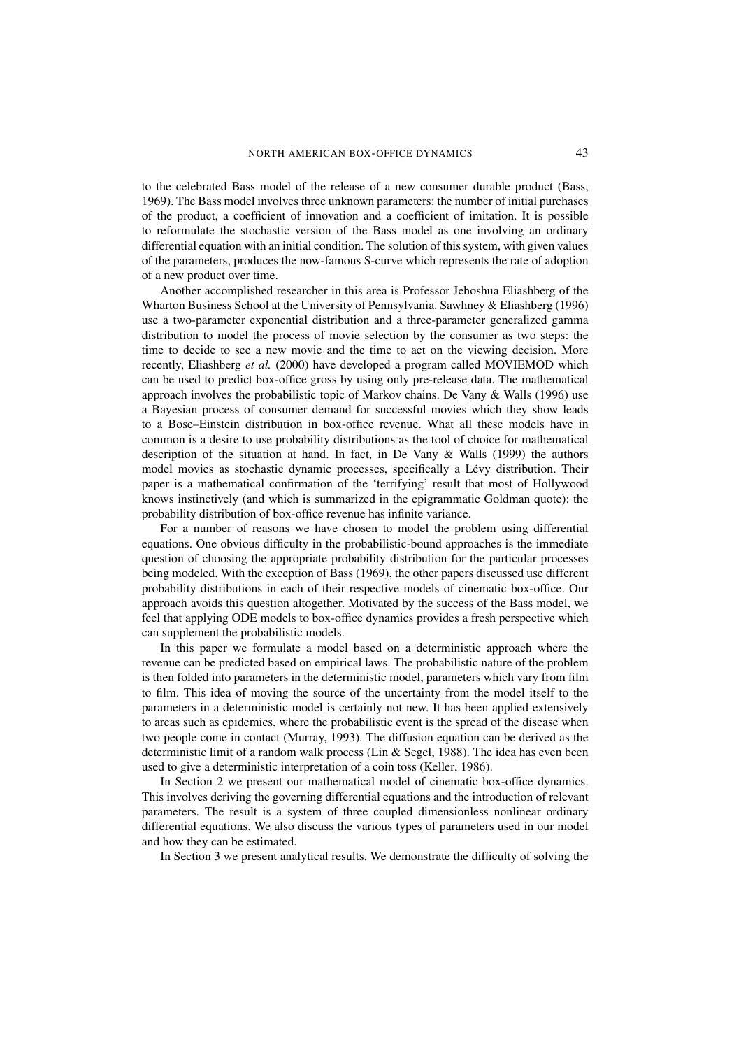to the celebrated Bass model of the release of a new consumer durable product (Bass, 1969). The Bass model involves three unknown parameters: the number of initial purchases of the product, a coefficient of innovation and a coefficient of imitation. It is possible to reformulate the stochastic version of the Bass model as one involving an ordinary differential equation with an initial condition. The solution of this system, with given values of the parameters, produces the now-famous S-curve which represents the rate of adoption of a new product over time.

Another accomplished researcher in this area is Professor Jehoshua Eliashberg of the Wharton Business School at the University of Pennsylvania. Sawhney & Eliashberg (1996) use a two-parameter exponential distribution and a three-parameter generalized gamma distribution to model the process of movie selection by the consumer as two steps: the time to decide to see a new movie and the time to act on the viewing decision. More recently, Eliashberg *et al.* (2000) have developed a program called MOVIEMOD which can be used to predict box-office gross by using only pre-release data. The mathematical approach involves the probabilistic topic of Markov chains. De Vany & Walls (1996) use a Bayesian process of consumer demand for successful movies which they show leads to a Bose–Einstein distribution in box-office revenue. What all these models have in common is a desire to use probability distributions as the tool of choice for mathematical description of the situation at hand. In fact, in De Vany & Walls (1999) the authors model movies as stochastic dynamic processes, specifically a Lévy distribution. Their paper is a mathematical confirmation of the 'terrifying' result that most of Hollywood knows instinctively (and which is summarized in the epigrammatic Goldman quote): the probability distribution of box-office revenue has infinite variance.

For a number of reasons we have chosen to model the problem using differential equations. One obvious difficulty in the probabilistic-bound approaches is the immediate question of choosing the appropriate probability distribution for the particular processes being modeled. With the exception of Bass (1969), the other papers discussed use different probability distributions in each of their respective models of cinematic box-office. Our approach avoids this question altogether. Motivated by the success of the Bass model, we feel that applying ODE models to box-office dynamics provides a fresh perspective which can supplement the probabilistic models.

In this paper we formulate a model based on a deterministic approach where the revenue can be predicted based on empirical laws. The probabilistic nature of the problem is then folded into parameters in the deterministic model, parameters which vary from film to film. This idea of moving the source of the uncertainty from the model itself to the parameters in a deterministic model is certainly not new. It has been applied extensively to areas such as epidemics, where the probabilistic event is the spread of the disease when two people come in contact (Murray, 1993). The diffusion equation can be derived as the deterministic limit of a random walk process (Lin & Segel, 1988). The idea has even been used to give a deterministic interpretation of a coin toss (Keller, 1986).

In Section 2 we present our mathematical model of cinematic box-office dynamics. This involves deriving the governing differential equations and the introduction of relevant parameters. The result is a system of three coupled dimensionless nonlinear ordinary differential equations. We also discuss the various types of parameters used in our model and how they can be estimated.

In Section 3 we present analytical results. We demonstrate the difficulty of solving the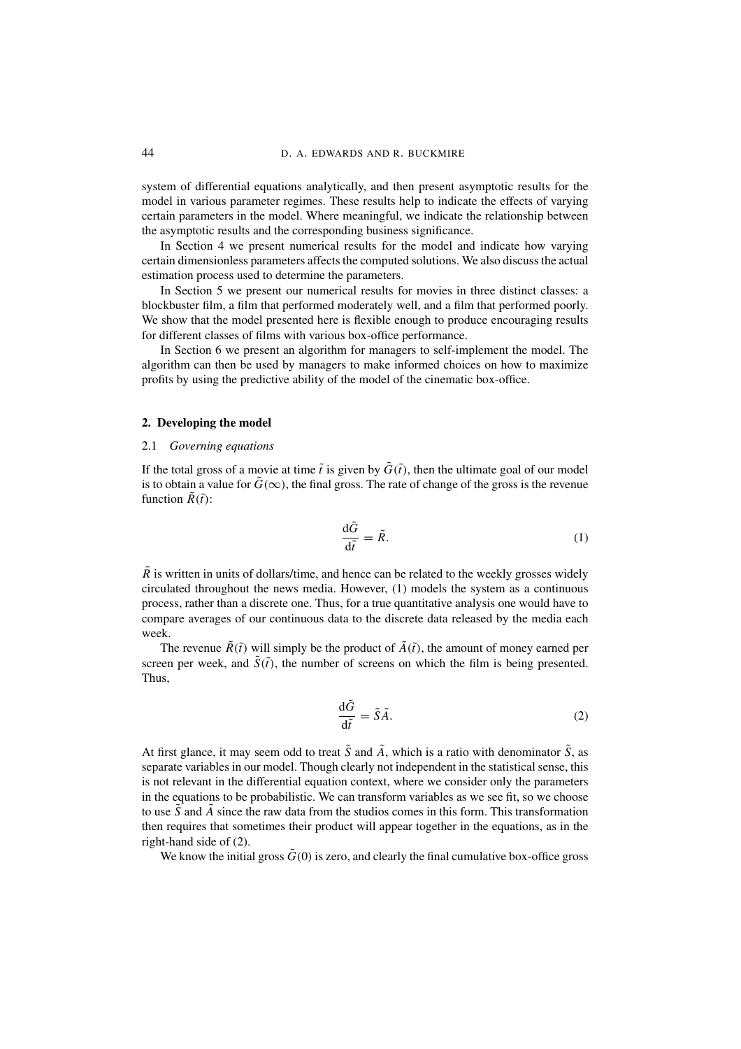system of differential equations analytically, and then present asymptotic results for the model in various parameter regimes. These results help to indicate the effects of varying certain parameters in the model. Where meaningful, we indicate the relationship between the asymptotic results and the corresponding business significance.

In Section 4 we present numerical results for the model and indicate how varying certain dimensionless parameters affects the computed solutions. We also discuss the actual estimation process used to determine the parameters.

In Section 5 we present our numerical results for movies in three distinct classes: a blockbuster film, a film that performed moderately well, and a film that performed poorly. We show that the model presented here is flexible enough to produce encouraging results for different classes of films with various box-office performance.

In Section 6 we present an algorithm for managers to self-implement the model. The algorithm can then be used by managers to make informed choices on how to maximize profits by using the predictive ability of the model of the cinematic box-office.

#### **2. Developing the model**

#### 2.1 *Governing equations*

If the total gross of a movie at time  $\tilde{t}$  is given by  $G(\tilde{t})$ , then the ultimate goal of our model is to obtain a value for  $\tilde{G}(\infty)$ , the final gross. The rate of change of the gross is the revenue function  $R(\tilde{t})$ :

$$
\frac{\mathrm{d}\tilde{G}}{\mathrm{d}\tilde{t}} = \tilde{R}.\tag{1}
$$

 $\overline{R}$  is written in units of dollars/time, and hence can be related to the weekly grosses widely circulated throughout the news media. However, (1) models the system as a continuous process, rather than a discrete one. Thus, for a true quantitative analysis one would have to compare averages of our continuous data to the discrete data released by the media each week.

The revenue  $R(\tilde{t})$  will simply be the product of  $A(\tilde{t})$ , the amount of money earned per screen per week, and  $S(\tilde{t})$ , the number of screens on which the film is being presented. Thus,

$$
\frac{\mathrm{d}\tilde{G}}{\mathrm{d}\tilde{t}} = \tilde{S}\tilde{A}.\tag{2}
$$

At first glance, it may seem odd to treat  $\tilde{S}$  and  $\tilde{A}$ , which is a ratio with denominator  $\tilde{S}$ , as separate variables in our model. Though clearly not independent in the statistical sense, this is not relevant in the differential equation context, where we consider only the parameters in the equations to be probabilistic. We can transform variables as we see fit, so we choose to use  $\tilde{S}$  and  $\tilde{A}$  since the raw data from the studios comes in this form. This transformation then requires that sometimes their product will appear together in the equations, as in the right-hand side of (2).

We know the initial gross  $\tilde{G}(0)$  is zero, and clearly the final cumulative box-office gross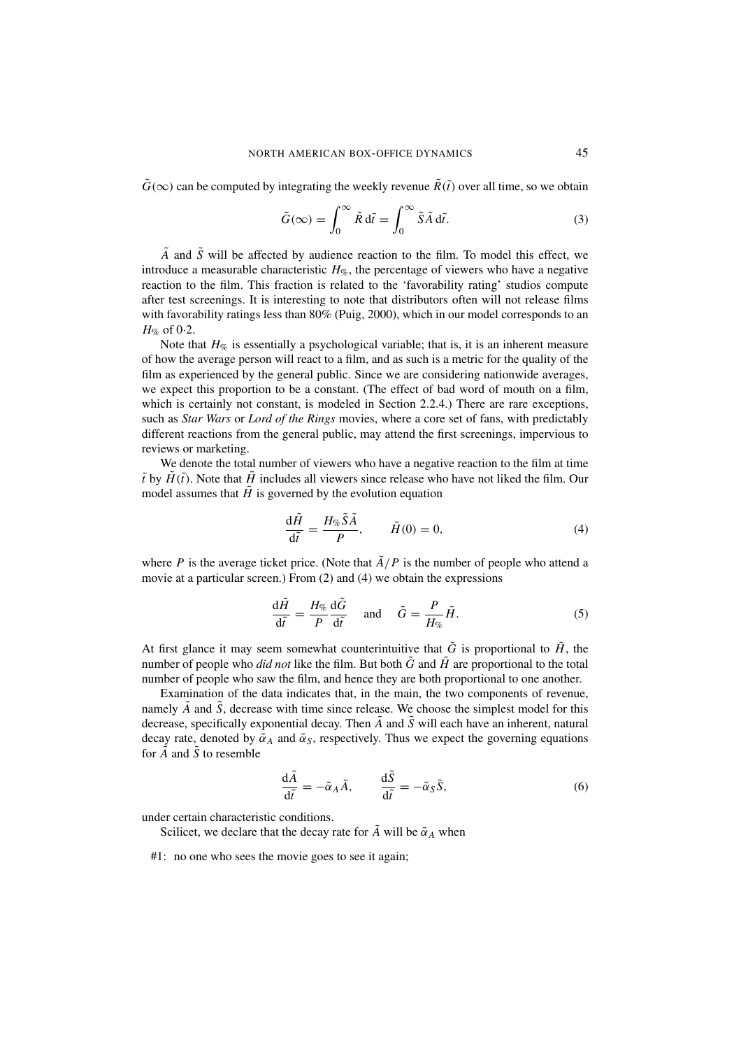$G(\infty)$  can be computed by integrating the weekly revenue  $R(\tilde{t})$  over all time, so we obtain

$$
\tilde{G}(\infty) = \int_0^\infty \tilde{R} \, \mathrm{d}\tilde{t} = \int_0^\infty \tilde{S} \tilde{A} \, \mathrm{d}\tilde{t}.\tag{3}
$$

 $\overline{A}$  and  $\overline{S}$  will be affected by audience reaction to the film. To model this effect, we introduce a measurable characteristic  $H_{\%}$ , the percentage of viewers who have a negative reaction to the film. This fraction is related to the 'favorability rating' studios compute after test screenings. It is interesting to note that distributors often will not release films with favorability ratings less than 80% (Puig, 2000), which in our model corresponds to an  $H_{\%}$  of 0.2.

Note that  $H_{\%}$  is essentially a psychological variable; that is, it is an inherent measure of how the average person will react to a film, and as such is a metric for the quality of the film as experienced by the general public. Since we are considering nationwide averages, we expect this proportion to be a constant. (The effect of bad word of mouth on a film, which is certainly not constant, is modeled in Section 2.2.4.) There are rare exceptions, such as *Star Wars* or *Lord of the Rings* movies, where a core set of fans, with predictably different reactions from the general public, may attend the first screenings, impervious to reviews or marketing.

We denote the total number of viewers who have a negative reaction to the film at time  $\tilde{t}$  by  $\tilde{H}(\tilde{t})$ . Note that  $\tilde{H}$  includes all viewers since release who have not liked the film. Our model assumes that  $\tilde{H}$  is governed by the evolution equation

$$
\frac{dH}{d\tilde{t}} = \frac{H_{\%}SA}{P}, \qquad \tilde{H}(0) = 0,
$$
\n(4)

where *P* is the average ticket price. (Note that  $\tilde{A}/P$  is the number of people who attend a movie at a particular screen.) From (2) and (4) we obtain the expressions

$$
\frac{\mathrm{d}\tilde{H}}{\mathrm{d}\tilde{t}} = \frac{H_{\%}}{P} \frac{\mathrm{d}\tilde{G}}{\mathrm{d}\tilde{t}} \quad \text{and} \quad \tilde{G} = \frac{P}{H_{\%}} \tilde{H}.
$$
 (5)

At first glance it may seem somewhat counterintuitive that  $\tilde{G}$  is proportional to  $\tilde{H}$ , the number of people who *did not* like the film. But both  $\tilde{G}$  and  $\tilde{H}$  are proportional to the total number of people who saw the film, and hence they are both proportional to one another.

Examination of the data indicates that, in the main, the two components of revenue, namely  $\tilde{A}$  and  $\tilde{S}$ , decrease with time since release. We choose the simplest model for this decrease, specifically exponential decay. Then  $\vec{A}$  and  $\vec{S}$  will each have an inherent, natural decay rate, denoted by  $\tilde{\alpha}_A$  and  $\tilde{\alpha}_S$ , respectively. Thus we expect the governing equations for  $\tilde{A}$  and  $\tilde{S}$  to resemble

$$
\frac{\mathrm{d}\tilde{A}}{\mathrm{d}\tilde{t}} = -\tilde{\alpha}_A \tilde{A}, \qquad \frac{\mathrm{d}\tilde{S}}{\mathrm{d}\tilde{t}} = -\tilde{\alpha}_S \tilde{S}, \tag{6}
$$

under certain characteristic conditions.

Scilicet, we declare that the decay rate for  $\tilde{A}$  will be  $\tilde{\alpha}_A$  when

#1: no one who sees the movie goes to see it again;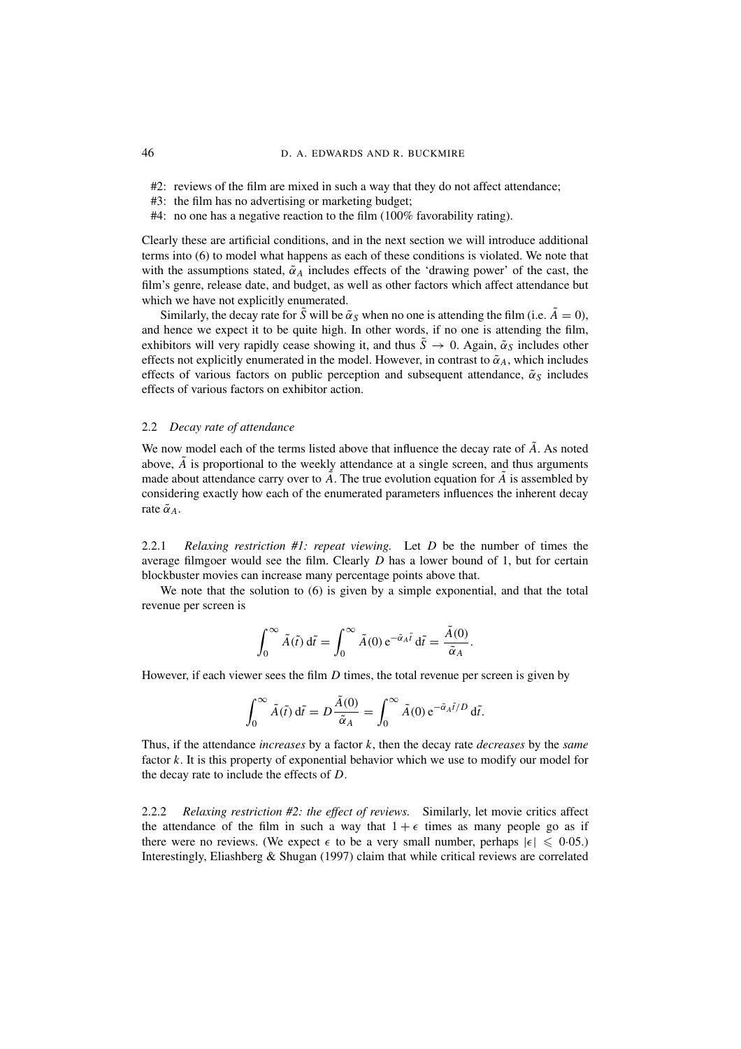- #2: reviews of the film are mixed in such a way that they do not affect attendance;
- #3: the film has no advertising or marketing budget;
- #4: no one has a negative reaction to the film (100% favorability rating).

Clearly these are artificial conditions, and in the next section we will introduce additional terms into (6) to model what happens as each of these conditions is violated. We note that with the assumptions stated,  $\tilde{\alpha}_A$  includes effects of the 'drawing power' of the cast, the film's genre, release date, and budget, as well as other factors which affect attendance but which we have not explicitly enumerated.

Similarly, the decay rate for  $\tilde{S}$  will be  $\tilde{\alpha}_S$  when no one is attending the film (i.e.  $\tilde{A} = 0$ ), and hence we expect it to be quite high. In other words, if no one is attending the film, exhibitors will very rapidly cease showing it, and thus  $\tilde{S} \rightarrow 0$ . Again,  $\tilde{\alpha}_S$  includes other effects not explicitly enumerated in the model. However, in contrast to  $\tilde{\alpha}_A$ , which includes effects of various factors on public perception and subsequent attendance,  $\tilde{\alpha}_S$  includes effects of various factors on exhibitor action.

#### 2.2 *Decay rate of attendance*

We now model each of the terms listed above that influence the decay rate of  $\tilde{A}$ . As noted above,  $\tilde{A}$  is proportional to the weekly attendance at a single screen, and thus arguments made about attendance carry over to  $\vec{A}$ . The true evolution equation for  $\vec{A}$  is assembled by considering exactly how each of the enumerated parameters influences the inherent decay rate  $\tilde{\alpha}_A$ .

2.2.1 *Relaxing restriction #1: repeat viewing.* Let *D* be the number of times the average filmgoer would see the film. Clearly *D* has a lower bound of 1, but for certain blockbuster movies can increase many percentage points above that.

We note that the solution to (6) is given by a simple exponential, and that the total revenue per screen is

$$
\int_0^\infty \tilde{A}(\tilde{t}) \, d\tilde{t} = \int_0^\infty \tilde{A}(0) \, e^{-\tilde{\alpha}_A \tilde{t}} \, d\tilde{t} = \frac{\tilde{A}(0)}{\tilde{\alpha}_A}.
$$

However, if each viewer sees the film *D* times, the total revenue per screen is given by

$$
\int_0^\infty \tilde{A}(\tilde{t}) \, \mathrm{d}\tilde{t} = D \frac{\tilde{A}(0)}{\tilde{\alpha}_A} = \int_0^\infty \tilde{A}(0) \, \mathrm{e}^{-\tilde{\alpha}_A \tilde{t}/D} \, \mathrm{d}\tilde{t}.
$$

Thus, if the attendance *increases* by a factor *k*, then the decay rate *decreases* by the *same* factor *k*. It is this property of exponential behavior which we use to modify our model for the decay rate to include the effects of *D*.

2.2.2 *Relaxing restriction #2: the effect of reviews.* Similarly, let movie critics affect the attendance of the film in such a way that  $1 + \epsilon$  times as many people go as if there were no reviews. (We expect  $\epsilon$  to be a very small number, perhaps  $|\epsilon| \leq 0.05$ .) Interestingly, Eliashberg & Shugan (1997) claim that while critical reviews are correlated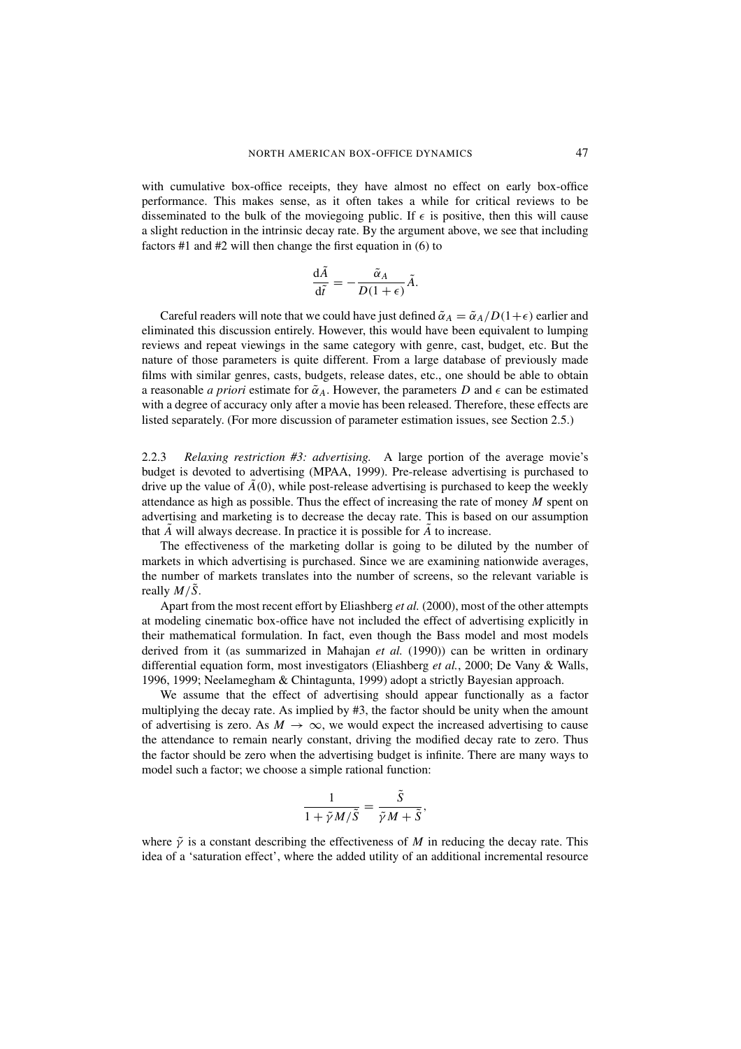with cumulative box-office receipts, they have almost no effect on early box-office performance. This makes sense, as it often takes a while for critical reviews to be disseminated to the bulk of the moviegoing public. If  $\epsilon$  is positive, then this will cause a slight reduction in the intrinsic decay rate. By the argument above, we see that including factors #1 and #2 will then change the first equation in (6) to

$$
\frac{\mathrm{d}\tilde{A}}{\mathrm{d}\tilde{t}} = -\frac{\tilde{\alpha}_A}{D(1+\epsilon)}\tilde{A}.
$$

Careful readers will note that we could have just defined  $\tilde{\alpha}_A = \tilde{\alpha}_A/D(1+\epsilon)$  earlier and eliminated this discussion entirely. However, this would have been equivalent to lumping reviews and repeat viewings in the same category with genre, cast, budget, etc. But the nature of those parameters is quite different. From a large database of previously made films with similar genres, casts, budgets, release dates, etc., one should be able to obtain a reasonable *a priori* estimate for  $\tilde{\alpha}_A$ . However, the parameters *D* and  $\epsilon$  can be estimated with a degree of accuracy only after a movie has been released. Therefore, these effects are listed separately. (For more discussion of parameter estimation issues, see Section 2.5.)

2.2.3 *Relaxing restriction #3: advertising.* A large portion of the average movie's budget is devoted to advertising (MPAA, 1999). Pre-release advertising is purchased to drive up the value of  $\tilde{A}(0)$ , while post-release advertising is purchased to keep the weekly attendance as high as possible. Thus the effect of increasing the rate of money *M* spent on advertising and marketing is to decrease the decay rate. This is based on our assumption that  $\tilde{A}$  will always decrease. In practice it is possible for  $\tilde{A}$  to increase.

The effectiveness of the marketing dollar is going to be diluted by the number of markets in which advertising is purchased. Since we are examining nationwide averages, the number of markets translates into the number of screens, so the relevant variable is really  $M/S$ .

Apart from the most recent effort by Eliashberg *et al.* (2000), most of the other attempts at modeling cinematic box-office have not included the effect of advertising explicitly in their mathematical formulation. In fact, even though the Bass model and most models derived from it (as summarized in Mahajan *et al.* (1990)) can be written in ordinary differential equation form, most investigators (Eliashberg *et al.*, 2000; De Vany & Walls, 1996, 1999; Neelamegham & Chintagunta, 1999) adopt a strictly Bayesian approach.

We assume that the effect of advertising should appear functionally as a factor multiplying the decay rate. As implied by #3, the factor should be unity when the amount of advertising is zero. As  $M \to \infty$ , we would expect the increased advertising to cause the attendance to remain nearly constant, driving the modified decay rate to zero. Thus the factor should be zero when the advertising budget is infinite. There are many ways to model such a factor; we choose a simple rational function:

$$
\frac{1}{1+\tilde{\gamma}M/\tilde{S}}=\frac{\tilde{S}}{\tilde{\gamma}M+\tilde{S}},
$$

where  $\tilde{\gamma}$  is a constant describing the effectiveness of *M* in reducing the decay rate. This idea of a 'saturation effect', where the added utility of an additional incremental resource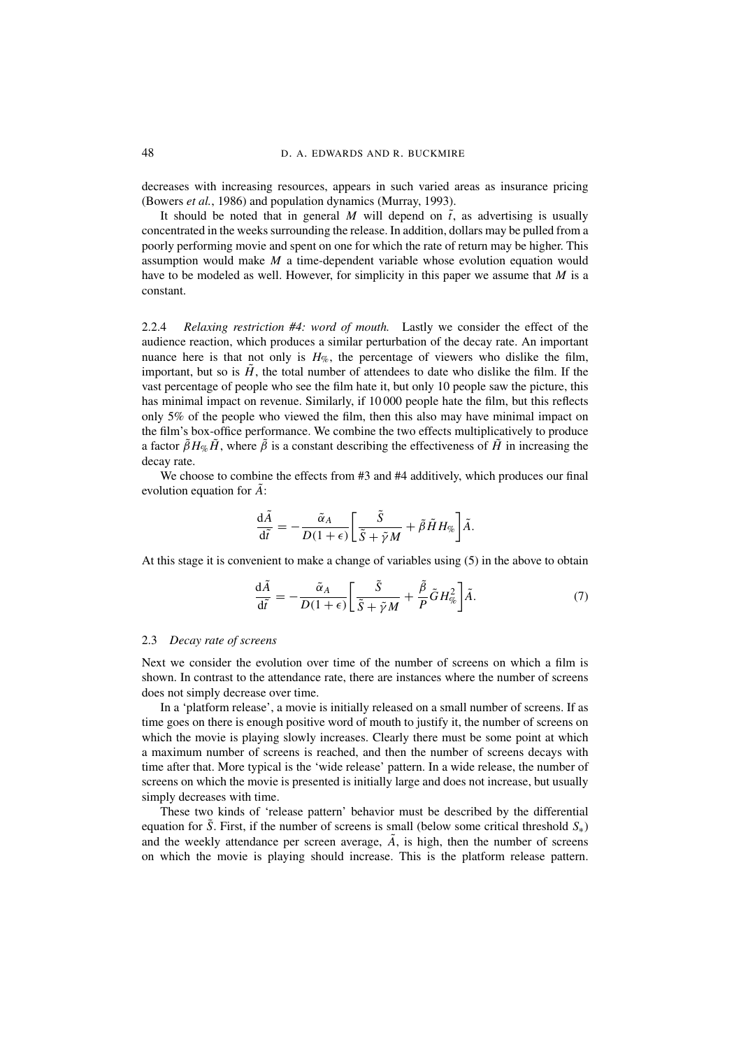decreases with increasing resources, appears in such varied areas as insurance pricing (Bowers *et al.*, 1986) and population dynamics (Murray, 1993).

It should be noted that in general  $M$  will depend on  $\tilde{t}$ , as advertising is usually concentrated in the weeks surrounding the release. In addition, dollars may be pulled from a poorly performing movie and spent on one for which the rate of return may be higher. This assumption would make *M* a time-dependent variable whose evolution equation would have to be modeled as well. However, for simplicity in this paper we assume that *M* is a constant.

2.2.4 *Relaxing restriction #4: word of mouth.* Lastly we consider the effect of the audience reaction, which produces a similar perturbation of the decay rate. An important nuance here is that not only is  $H<sub>\%</sub>$ </sub>, the percentage of viewers who dislike the film, important, but so is  $\tilde{H}$ , the total number of attendees to date who dislike the film. If the vast percentage of people who see the film hate it, but only 10 people saw the picture, this has minimal impact on revenue. Similarly, if 10 000 people hate the film, but this reflects only 5% of the people who viewed the film, then this also may have minimal impact on the film's box-office performance. We combine the two effects multiplicatively to produce a factor  $\tilde{\beta}H_{\varphi}\tilde{H}$ , where  $\tilde{\beta}$  is a constant describing the effectiveness of  $\tilde{H}$  in increasing the decay rate.

We choose to combine the effects from #3 and #4 additively, which produces our final evolution equation for  $\tilde{A}$ :

$$
\frac{\mathrm{d}\tilde{A}}{\mathrm{d}\tilde{t}} = -\frac{\tilde{\alpha}_A}{D(1+\epsilon)} \left[ \frac{\tilde{S}}{\tilde{S} + \tilde{\gamma}M} + \tilde{\beta}\tilde{H}H_{\%}\right] \tilde{A}.
$$

At this stage it is convenient to make a change of variables using (5) in the above to obtain

$$
\frac{\mathrm{d}\tilde{A}}{\mathrm{d}\tilde{t}} = -\frac{\tilde{\alpha}_A}{D(1+\epsilon)} \bigg[ \frac{\tilde{S}}{\tilde{S} + \tilde{\gamma}M} + \frac{\tilde{\beta}}{P} \tilde{G} H_{\%}^2 \bigg] \tilde{A}.
$$
 (7)

#### 2.3 *Decay rate of screens*

Next we consider the evolution over time of the number of screens on which a film is shown. In contrast to the attendance rate, there are instances where the number of screens does not simply decrease over time.

In a 'platform release', a movie is initially released on a small number of screens. If as time goes on there is enough positive word of mouth to justify it, the number of screens on which the movie is playing slowly increases. Clearly there must be some point at which a maximum number of screens is reached, and then the number of screens decays with time after that. More typical is the 'wide release' pattern. In a wide release, the number of screens on which the movie is presented is initially large and does not increase, but usually simply decreases with time.

These two kinds of 'release pattern' behavior must be described by the differential equation for  $\tilde{S}$ . First, if the number of screens is small (below some critical threshold  $S_*$ ) and the weekly attendance per screen average,  $\tilde{A}$ , is high, then the number of screens on which the movie is playing should increase. This is the platform release pattern.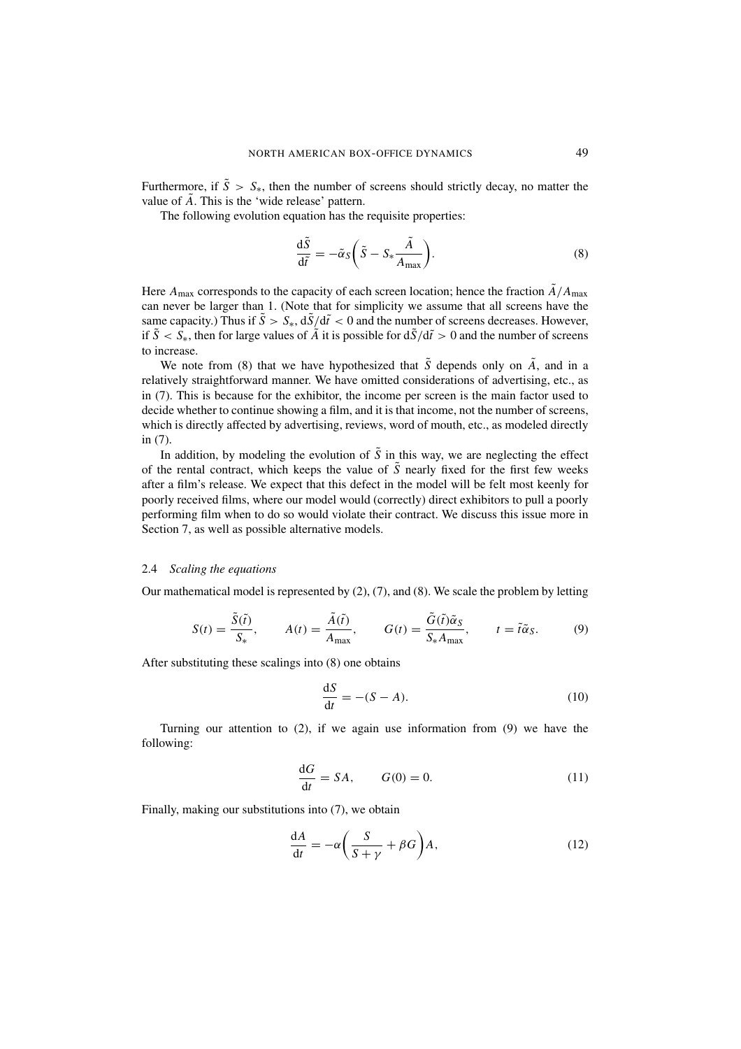Furthermore, if  $\tilde{S} > S_{*}$ , then the number of screens should strictly decay, no matter the value of  $\tilde{A}$ . This is the 'wide release' pattern.

The following evolution equation has the requisite properties:

$$
\frac{\mathrm{d}\tilde{S}}{\mathrm{d}\tilde{t}} = -\tilde{\alpha}_S \bigg(\tilde{S} - S_* \frac{\tilde{A}}{A_{\text{max}}}\bigg). \tag{8}
$$

Here  $A_{\text{max}}$  corresponds to the capacity of each screen location; hence the fraction  $\tilde{A}/A_{\text{max}}$ can never be larger than 1. (Note that for simplicity we assume that all screens have the same capacity.) Thus if  $S > S_*$ ,  $dS/d\tilde{t} < 0$  and the number of screens decreases. However, if  $S < S_{*}$ , then for large values of *A* it is possible for  $dS/d\tilde{t} > 0$  and the number of screens to increase.

We note from (8) that we have hypothesized that  $\tilde{S}$  depends only on  $\tilde{A}$ , and in a relatively straightforward manner. We have omitted considerations of advertising, etc., as in (7). This is because for the exhibitor, the income per screen is the main factor used to decide whether to continue showing a film, and it is that income, not the number of screens, which is directly affected by advertising, reviews, word of mouth, etc., as modeled directly in (7).

In addition, by modeling the evolution of  $\tilde{S}$  in this way, we are neglecting the effect of the rental contract, which keeps the value of  $\tilde{S}$  nearly fixed for the first few weeks after a film's release. We expect that this defect in the model will be felt most keenly for poorly received films, where our model would (correctly) direct exhibitors to pull a poorly performing film when to do so would violate their contract. We discuss this issue more in Section 7, as well as possible alternative models.

### 2.4 *Scaling the equations*

Our mathematical model is represented by (2), (7), and (8). We scale the problem by letting

$$
S(t) = \frac{\tilde{S}(\tilde{t})}{S_*}, \qquad A(t) = \frac{\tilde{A}(\tilde{t})}{A_{\text{max}}}, \qquad G(t) = \frac{\tilde{G}(\tilde{t})\tilde{\alpha}_S}{S_* A_{\text{max}}}, \qquad t = \tilde{t}\tilde{\alpha}_S. \tag{9}
$$

After substituting these scalings into (8) one obtains

$$
\frac{\mathrm{d}S}{\mathrm{d}t} = -(S - A). \tag{10}
$$

Turning our attention to (2), if we again use information from (9) we have the following:

$$
\frac{\mathrm{d}G}{\mathrm{d}t} = SA, \qquad G(0) = 0. \tag{11}
$$

Finally, making our substitutions into (7), we obtain

$$
\frac{dA}{dt} = -\alpha \left( \frac{S}{S + \gamma} + \beta G \right) A,\tag{12}
$$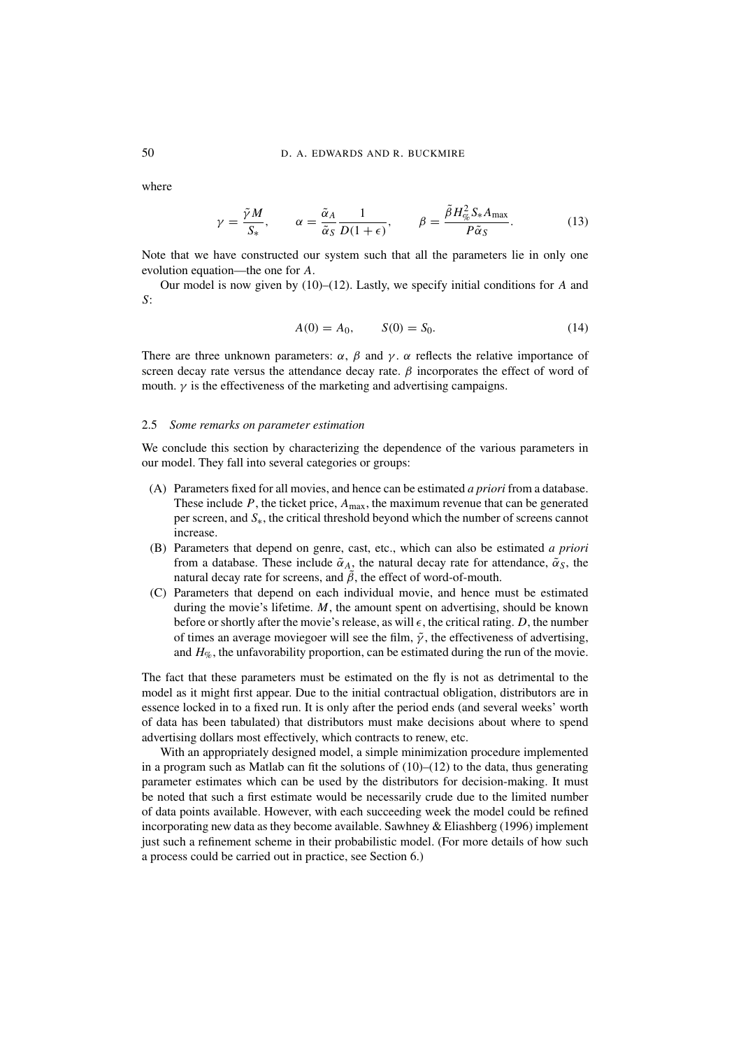#### 50 D. A. EDWARDS AND R. BUCKMIRE

where

$$
\gamma = \frac{\tilde{\gamma} M}{S_*}, \qquad \alpha = \frac{\tilde{\alpha}_A}{\tilde{\alpha}_S} \frac{1}{D(1+\epsilon)}, \qquad \beta = \frac{\tilde{\beta} H_{\%}^2 S_* A_{\text{max}}}{P \tilde{\alpha}_S}.
$$
 (13)

Note that we have constructed our system such that all the parameters lie in only one evolution equation—the one for *A*.

Our model is now given by (10)–(12). Lastly, we specify initial conditions for *A* and *S*:

$$
A(0) = A_0, \qquad S(0) = S_0. \tag{14}
$$

There are three unknown parameters:  $\alpha$ ,  $\beta$  and  $\gamma$ .  $\alpha$  reflects the relative importance of screen decay rate versus the attendance decay rate.  $\beta$  incorporates the effect of word of mouth.  $\gamma$  is the effectiveness of the marketing and advertising campaigns.

#### 2.5 *Some remarks on parameter estimation*

We conclude this section by characterizing the dependence of the various parameters in our model. They fall into several categories or groups:

- (A) Parameters fixed for all movies, and hence can be estimated *a priori* from a database. These include  $P$ , the ticket price,  $A_{\text{max}}$ , the maximum revenue that can be generated per screen, and *S*∗, the critical threshold beyond which the number of screens cannot increase.
- (B) Parameters that depend on genre, cast, etc., which can also be estimated *a priori* from a database. These include  $\tilde{\alpha}_A$ , the natural decay rate for attendance,  $\tilde{\alpha}_S$ , the natural decay rate for screens, and  $\tilde{\beta}$ , the effect of word-of-mouth.
- (C) Parameters that depend on each individual movie, and hence must be estimated during the movie's lifetime. *M*, the amount spent on advertising, should be known before or shortly after the movie's release, as will  $\epsilon$ , the critical rating. *D*, the number of times an average moviegoer will see the film,  $\tilde{\gamma}$ , the effectiveness of advertising, and  $H_{\%}$ , the unfavorability proportion, can be estimated during the run of the movie.

The fact that these parameters must be estimated on the fly is not as detrimental to the model as it might first appear. Due to the initial contractual obligation, distributors are in essence locked in to a fixed run. It is only after the period ends (and several weeks' worth of data has been tabulated) that distributors must make decisions about where to spend advertising dollars most effectively, which contracts to renew, etc.

With an appropriately designed model, a simple minimization procedure implemented in a program such as Matlab can fit the solutions of  $(10)$ – $(12)$  to the data, thus generating parameter estimates which can be used by the distributors for decision-making. It must be noted that such a first estimate would be necessarily crude due to the limited number of data points available. However, with each succeeding week the model could be refined incorporating new data as they become available. Sawhney & Eliashberg (1996) implement just such a refinement scheme in their probabilistic model. (For more details of how such a process could be carried out in practice, see Section 6.)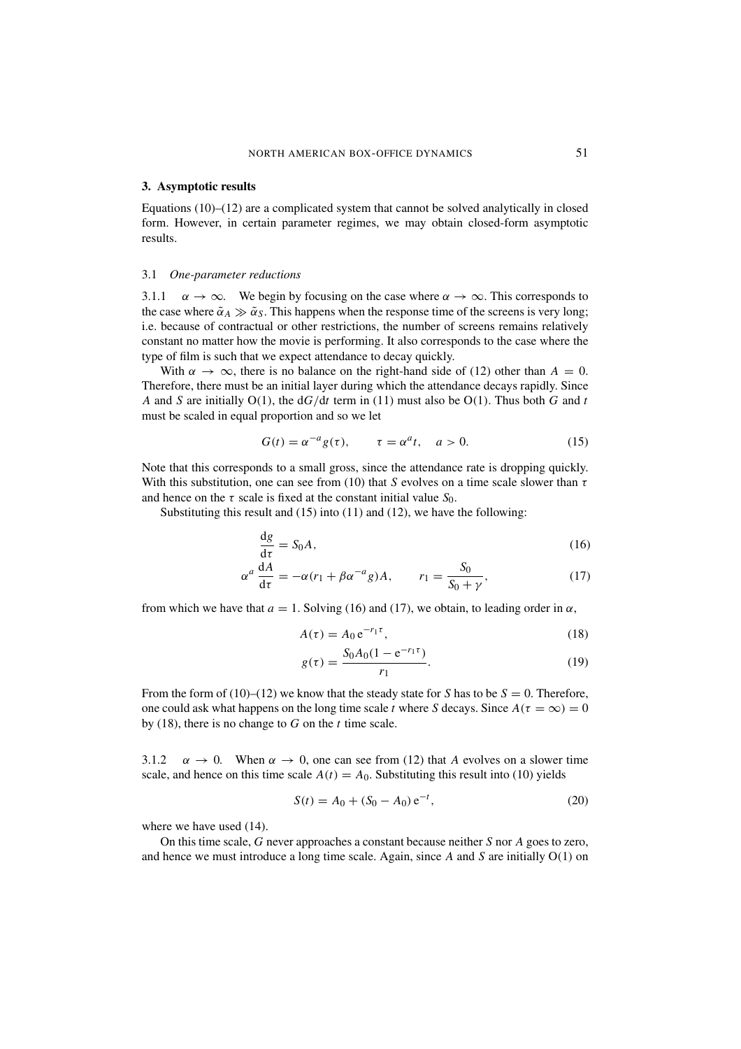#### **3. Asymptotic results**

Equations (10)–(12) are a complicated system that cannot be solved analytically in closed form. However, in certain parameter regimes, we may obtain closed-form asymptotic results.

### 3.1 *One-parameter reductions*

3.1.1  $\alpha \to \infty$ . We begin by focusing on the case where  $\alpha \to \infty$ . This corresponds to the case where  $\tilde{\alpha}_A \gg \tilde{\alpha}_S$ . This happens when the response time of the screens is very long; i.e. because of contractual or other restrictions, the number of screens remains relatively constant no matter how the movie is performing. It also corresponds to the case where the type of film is such that we expect attendance to decay quickly.

With  $\alpha \to \infty$ , there is no balance on the right-hand side of (12) other than  $A = 0$ . Therefore, there must be an initial layer during which the attendance decays rapidly. Since *A* and *S* are initially O(1), the d*G*/d*t* term in (11) must also be O(1). Thus both *G* and *t* must be scaled in equal proportion and so we let

$$
G(t) = \alpha^{-a} g(\tau), \qquad \tau = \alpha^a t, \quad a > 0.
$$
 (15)

Note that this corresponds to a small gross, since the attendance rate is dropping quickly. With this substitution, one can see from (10) that *S* evolves on a time scale slower than  $\tau$ and hence on the  $\tau$  scale is fixed at the constant initial value  $S_0$ .

Substituting this result and (15) into (11) and (12), we have the following:

$$
\frac{\mathrm{d}g}{\mathrm{d}\tau} = S_0 A,\tag{16}
$$

$$
\alpha^a \frac{dA}{d\tau} = -\alpha (r_1 + \beta \alpha^{-a} g) A, \qquad r_1 = \frac{S_0}{S_0 + \gamma}, \tag{17}
$$

from which we have that  $a = 1$ . Solving (16) and (17), we obtain, to leading order in  $\alpha$ ,

$$
A(\tau) = A_0 e^{-r_1 \tau}, \qquad (18)
$$

$$
g(\tau) = \frac{S_0 A_0 (1 - e^{-r_1 \tau})}{r_1}.
$$
\n(19)

From the form of (10)–(12) we know that the steady state for *S* has to be  $S = 0$ . Therefore, one could ask what happens on the long time scale *t* where *S* decays. Since  $A(\tau = \infty) = 0$ by (18), there is no change to *G* on the *t* time scale.

3.1.2  $\alpha \rightarrow 0$ . When  $\alpha \rightarrow 0$ , one can see from (12) that *A* evolves on a slower time scale, and hence on this time scale  $A(t) = A_0$ . Substituting this result into (10) yields

$$
S(t) = A_0 + (S_0 - A_0) e^{-t},
$$
\n(20)

where we have used (14).

On this time scale, *G* never approaches a constant because neither *S* nor *A* goes to zero, and hence we must introduce a long time scale. Again, since *A* and *S* are initially O(1) on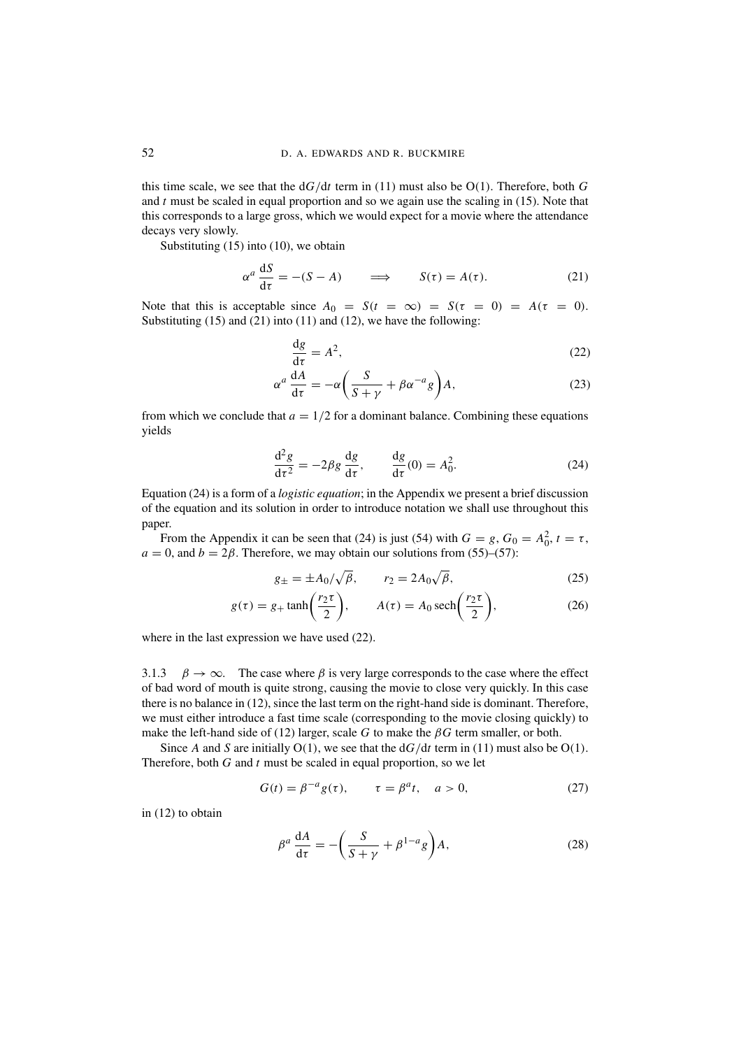this time scale, we see that the  $dG/dt$  term in (11) must also be  $O(1)$ . Therefore, both *G* and *t* must be scaled in equal proportion and so we again use the scaling in (15). Note that this corresponds to a large gross, which we would expect for a movie where the attendance decays very slowly.

Substituting  $(15)$  into  $(10)$ , we obtain

$$
\alpha^a \frac{dS}{d\tau} = -(S - A) \qquad \Longrightarrow \qquad S(\tau) = A(\tau). \tag{21}
$$

Note that this is acceptable since  $A_0 = S(t = \infty) = S(\tau = 0) = A(\tau = 0)$ . Substituting (15) and (21) into (11) and (12), we have the following:

$$
\frac{\mathrm{d}g}{\mathrm{d}\tau} = A^2,\tag{22}
$$

$$
\alpha^a \frac{dA}{d\tau} = -\alpha \left( \frac{S}{S + \gamma} + \beta \alpha^{-a} g \right) A,\tag{23}
$$

from which we conclude that  $a = 1/2$  for a dominant balance. Combining these equations yields

$$
\frac{\mathrm{d}^2 g}{\mathrm{d}\tau^2} = -2\beta g \frac{\mathrm{d}g}{\mathrm{d}\tau}, \qquad \frac{\mathrm{d}g}{\mathrm{d}\tau}(0) = A_0^2. \tag{24}
$$

Equation (24) is a form of a *logistic equation*; in the Appendix we present a brief discussion of the equation and its solution in order to introduce notation we shall use throughout this paper.

From the Appendix it can be seen that (24) is just (54) with  $G = g$ ,  $G_0 = A_0^2$ ,  $t = \tau$ ,  $a = 0$ , and  $b = 2\beta$ . Therefore, we may obtain our solutions from (55)–(57):

$$
g_{\pm} = \pm A_0 / \sqrt{\beta}, \qquad r_2 = 2A_0 \sqrt{\beta}, \tag{25}
$$

$$
g(\tau) = g_+ \tanh\left(\frac{r_2 \tau}{2}\right), \qquad A(\tau) = A_0 \operatorname{sech}\left(\frac{r_2 \tau}{2}\right), \tag{26}
$$

where in the last expression we have used (22).

3.1.3  $\beta \to \infty$ . The case where  $\beta$  is very large corresponds to the case where the effect of bad word of mouth is quite strong, causing the movie to close very quickly. In this case there is no balance in (12), since the last term on the right-hand side is dominant. Therefore, we must either introduce a fast time scale (corresponding to the movie closing quickly) to make the left-hand side of (12) larger, scale *G* to make the  $\beta G$  term smaller, or both.

Since *A* and *S* are initially  $O(1)$ , we see that the  $dG/dt$  term in (11) must also be  $O(1)$ . Therefore, both *G* and *t* must be scaled in equal proportion, so we let

$$
G(t) = \beta^{-a} g(\tau), \qquad \tau = \beta^a t, \quad a > 0,
$$
 (27)

in (12) to obtain

$$
\beta^a \frac{dA}{d\tau} = -\left(\frac{S}{S+\gamma} + \beta^{1-a}g\right)A,\tag{28}
$$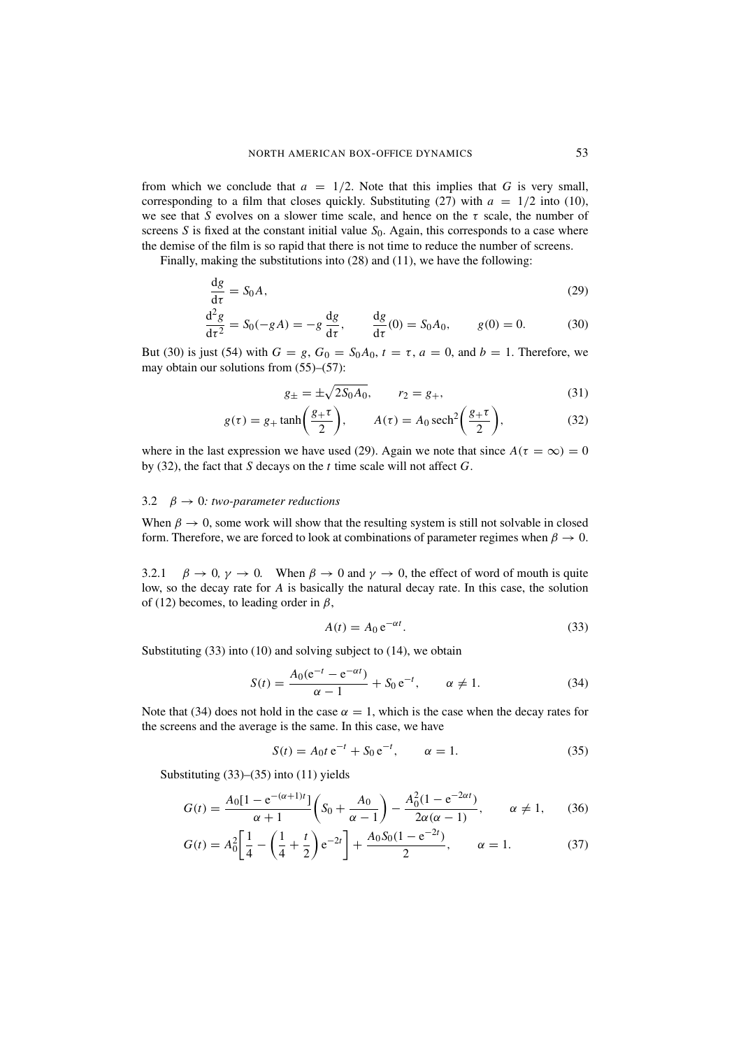from which we conclude that  $a = 1/2$ . Note that this implies that G is very small, corresponding to a film that closes quickly. Substituting (27) with  $a = 1/2$  into (10), we see that *S* evolves on a slower time scale, and hence on the  $\tau$  scale, the number of screens *S* is fixed at the constant initial value  $S_0$ . Again, this corresponds to a case where the demise of the film is so rapid that there is not time to reduce the number of screens.

Finally, making the substitutions into (28) and (11), we have the following:

$$
\frac{\mathrm{d}g}{\mathrm{d}\tau} = S_0 A,\tag{29}
$$

$$
\frac{d^2g}{d\tau^2} = S_0(-gA) = -g\frac{dg}{d\tau}, \qquad \frac{dg}{d\tau}(0) = S_0A_0, \qquad g(0) = 0.
$$
 (30)

But (30) is just (54) with  $G = g$ ,  $G_0 = S_0 A_0$ ,  $t = \tau$ ,  $a = 0$ , and  $b = 1$ . Therefore, we may obtain our solutions from (55)–(57):

$$
g_{\pm} = \pm \sqrt{2S_0 A_0}, \qquad r_2 = g_+, \tag{31}
$$

$$
g(\tau) = g_+ \tanh\left(\frac{g_+ \tau}{2}\right), \qquad A(\tau) = A_0 \operatorname{sech}^2\left(\frac{g_+ \tau}{2}\right), \tag{32}
$$

where in the last expression we have used (29). Again we note that since  $A(\tau = \infty) = 0$ by (32), the fact that *S* decays on the *t* time scale will not affect *G*.

### 3.2  $\beta \rightarrow 0$ *: two-parameter reductions*

When  $\beta \to 0$ , some work will show that the resulting system is still not solvable in closed form. Therefore, we are forced to look at combinations of parameter regimes when  $\beta \to 0$ .

3.2.1  $\beta \to 0$ ,  $\gamma \to 0$ . When  $\beta \to 0$  and  $\gamma \to 0$ , the effect of word of mouth is quite low, so the decay rate for *A* is basically the natural decay rate. In this case, the solution of (12) becomes, to leading order in  $\beta$ ,

$$
A(t) = A_0 e^{-\alpha t}.
$$
\n(33)

Substituting (33) into (10) and solving subject to (14), we obtain

$$
S(t) = \frac{A_0(e^{-t} - e^{-\alpha t})}{\alpha - 1} + S_0 e^{-t}, \qquad \alpha \neq 1.
$$
 (34)

Note that (34) does not hold in the case  $\alpha = 1$ , which is the case when the decay rates for the screens and the average is the same. In this case, we have

$$
S(t) = A_0 t e^{-t} + S_0 e^{-t}, \qquad \alpha = 1.
$$
 (35)

Substituting (33)–(35) into (11) yields

$$
G(t) = \frac{A_0[1 - e^{-(\alpha + 1)t}]}{\alpha + 1} \left( S_0 + \frac{A_0}{\alpha - 1} \right) - \frac{A_0^2 (1 - e^{-2\alpha t})}{2\alpha(\alpha - 1)}, \qquad \alpha \neq 1,
$$
 (36)

$$
G(t) = A_0^2 \left[ \frac{1}{4} - \left( \frac{1}{4} + \frac{t}{2} \right) e^{-2t} \right] + \frac{A_0 S_0 (1 - e^{-2t})}{2}, \qquad \alpha = 1.
$$
 (37)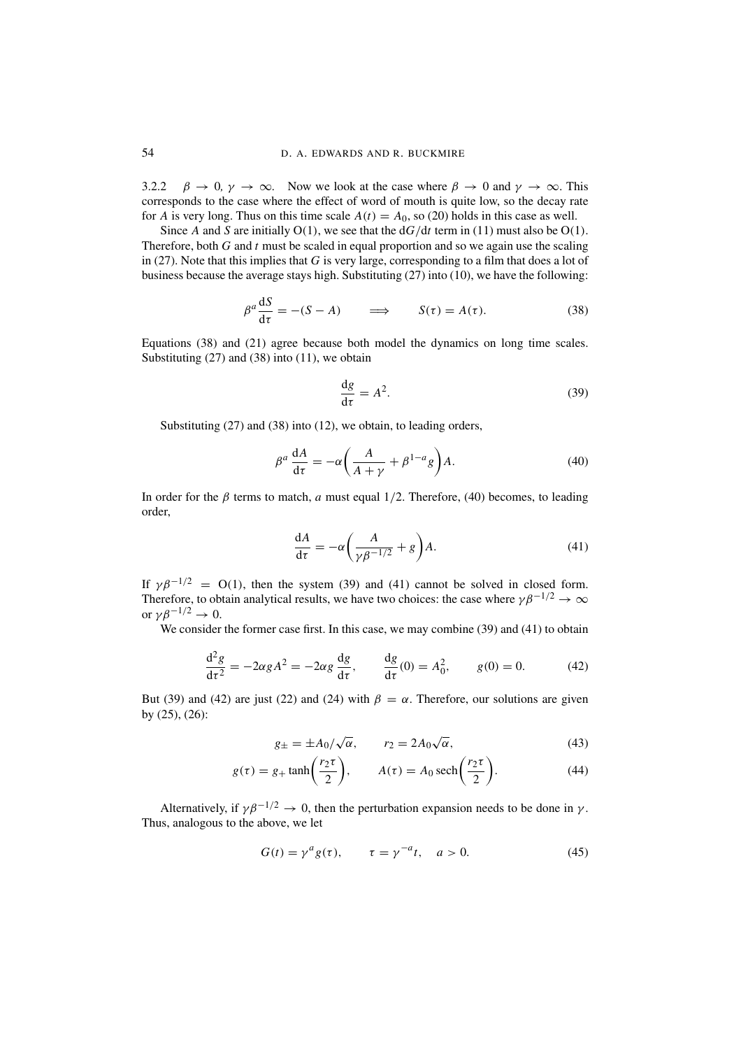3.2.2  $\beta \to 0$ ,  $\gamma \to \infty$ . Now we look at the case where  $\beta \to 0$  and  $\gamma \to \infty$ . This corresponds to the case where the effect of word of mouth is quite low, so the decay rate for *A* is very long. Thus on this time scale  $A(t) = A_0$ , so (20) holds in this case as well.

Since *A* and *S* are initially  $O(1)$ , we see that the  $dG/dt$  term in (11) must also be  $O(1)$ . Therefore, both *G* and *t* must be scaled in equal proportion and so we again use the scaling in (27). Note that this implies that *G* is very large, corresponding to a film that does a lot of business because the average stays high. Substituting (27) into (10), we have the following:

$$
\beta^a \frac{dS}{d\tau} = -(S - A) \qquad \Longrightarrow \qquad S(\tau) = A(\tau). \tag{38}
$$

Equations (38) and (21) agree because both model the dynamics on long time scales. Substituting (27) and (38) into (11), we obtain

$$
\frac{\mathrm{d}g}{\mathrm{d}\tau} = A^2. \tag{39}
$$

Substituting (27) and (38) into (12), we obtain, to leading orders,

$$
\beta^a \frac{dA}{d\tau} = -\alpha \left( \frac{A}{A + \gamma} + \beta^{1-a} g \right) A. \tag{40}
$$

In order for the  $\beta$  terms to match, *a* must equal 1/2. Therefore, (40) becomes, to leading order,

$$
\frac{dA}{d\tau} = -\alpha \left( \frac{A}{\gamma \beta^{-1/2}} + g \right) A. \tag{41}
$$

If  $\gamma \beta^{-1/2} = O(1)$ , then the system (39) and (41) cannot be solved in closed form. Therefore, to obtain analytical results, we have two choices: the case where  $\gamma \beta^{-1/2} \to \infty$ or  $\nu \beta^{-1/2} \to 0$ .

We consider the former case first. In this case, we may combine (39) and (41) to obtain

$$
\frac{d^2g}{d\tau^2} = -2\alpha g A^2 = -2\alpha g \frac{dg}{d\tau}, \qquad \frac{dg}{d\tau}(0) = A_0^2, \qquad g(0) = 0.
$$
 (42)

But (39) and (42) are just (22) and (24) with  $\beta = \alpha$ . Therefore, our solutions are given by (25), (26):

$$
g_{\pm} = \pm A_0 / \sqrt{\alpha}, \qquad r_2 = 2A_0 \sqrt{\alpha}, \tag{43}
$$

$$
g(\tau) = g_{+} \tanh\left(\frac{r_{2}\tau}{2}\right), \qquad A(\tau) = A_{0} \operatorname{sech}\left(\frac{r_{2}\tau}{2}\right). \tag{44}
$$

Alternatively, if  $\gamma \beta^{-1/2} \to 0$ , then the perturbation expansion needs to be done in  $\gamma$ . Thus, analogous to the above, we let

$$
G(t) = \gamma^a g(\tau), \qquad \tau = \gamma^{-a} t, \quad a > 0. \tag{45}
$$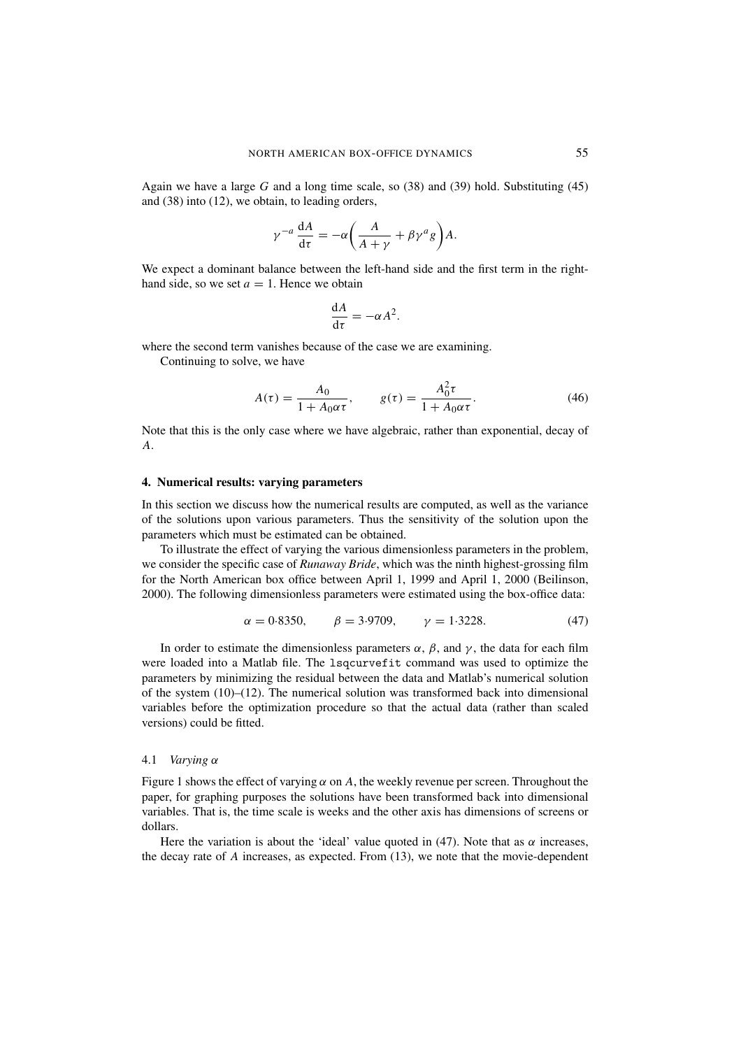Again we have a large *G* and a long time scale, so (38) and (39) hold. Substituting (45) and (38) into (12), we obtain, to leading orders,

$$
\gamma^{-a} \frac{dA}{d\tau} = -\alpha \left( \frac{A}{A + \gamma} + \beta \gamma^a g \right) A.
$$

We expect a dominant balance between the left-hand side and the first term in the righthand side, so we set  $a = 1$ . Hence we obtain

$$
\frac{\mathrm{d}A}{\mathrm{d}\tau} = -\alpha A^2.
$$

where the second term vanishes because of the case we are examining.

Continuing to solve, we have

$$
A(\tau) = \frac{A_0}{1 + A_0 \alpha \tau}, \qquad g(\tau) = \frac{A_0^2 \tau}{1 + A_0 \alpha \tau}.
$$
 (46)

Note that this is the only case where we have algebraic, rather than exponential, decay of *A*.

### **4. Numerical results: varying parameters**

In this section we discuss how the numerical results are computed, as well as the variance of the solutions upon various parameters. Thus the sensitivity of the solution upon the parameters which must be estimated can be obtained.

To illustrate the effect of varying the various dimensionless parameters in the problem, we consider the specific case of *Runaway Bride*, which was the ninth highest-grossing film for the North American box office between April 1, 1999 and April 1, 2000 (Beilinson, 2000). The following dimensionless parameters were estimated using the box-office data:

$$
\alpha = 0.8350,
$$
  $\beta = 3.9709,$   $\gamma = 1.3228.$  (47)

In order to estimate the dimensionless parameters  $\alpha$ ,  $\beta$ , and  $\gamma$ , the data for each film were loaded into a Matlab file. The lsqcurvefit command was used to optimize the parameters by minimizing the residual between the data and Matlab's numerical solution of the system  $(10)$ – $(12)$ . The numerical solution was transformed back into dimensional variables before the optimization procedure so that the actual data (rather than scaled versions) could be fitted.

### 4.1 *Varying* α

Figure 1 shows the effect of varying  $\alpha$  on A, the weekly revenue per screen. Throughout the paper, for graphing purposes the solutions have been transformed back into dimensional variables. That is, the time scale is weeks and the other axis has dimensions of screens or dollars.

Here the variation is about the 'ideal' value quoted in (47). Note that as  $\alpha$  increases, the decay rate of *A* increases, as expected. From (13), we note that the movie-dependent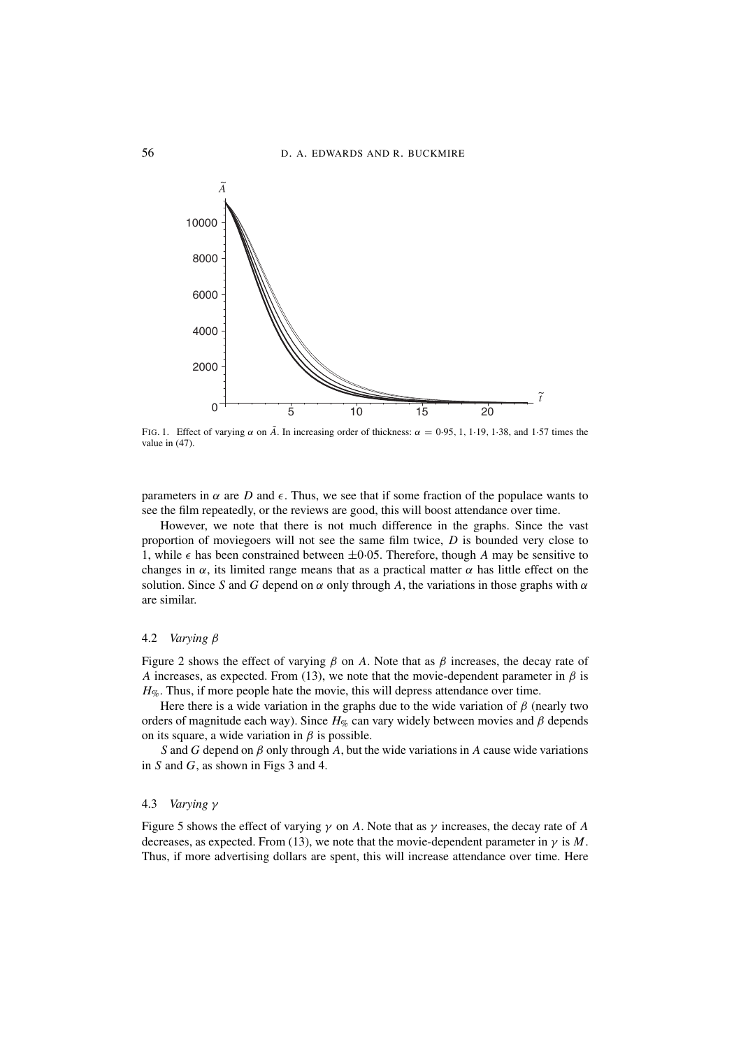

FIG. 1. Effect of varying  $\alpha$  on  $\tilde{A}$ . In increasing order of thickness:  $\alpha = 0.95, 1, 1.19, 1.38$ , and 1.57 times the value in (47).

parameters in  $\alpha$  are *D* and  $\epsilon$ . Thus, we see that if some fraction of the populace wants to see the film repeatedly, or the reviews are good, this will boost attendance over time.

However, we note that there is not much difference in the graphs. Since the vast proportion of moviegoers will not see the same film twice, *D* is bounded very close to 1, while  $\epsilon$  has been constrained between  $\pm 0.05$ . Therefore, though *A* may be sensitive to changes in  $\alpha$ , its limited range means that as a practical matter  $\alpha$  has little effect on the solution. Since *S* and *G* depend on  $\alpha$  only through *A*, the variations in those graphs with  $\alpha$ are similar.

### 4.2 *Varying* β

Figure 2 shows the effect of varying  $\beta$  on A. Note that as  $\beta$  increases, the decay rate of *A* increases, as expected. From (13), we note that the movie-dependent parameter in  $\beta$  is  $H<sub>\%</sub>$ . Thus, if more people hate the movie, this will depress attendance over time.

Here there is a wide variation in the graphs due to the wide variation of  $\beta$  (nearly two orders of magnitude each way). Since  $H_{\%}$  can vary widely between movies and  $\beta$  depends on its square, a wide variation in  $\beta$  is possible.

*S* and *G* depend on β only through *A*, but the wide variations in *A* cause wide variations in *S* and *G*, as shown in Figs 3 and 4.

### 4.3 *Varying* γ

Figure 5 shows the effect of varying  $\gamma$  on *A*. Note that as  $\gamma$  increases, the decay rate of *A* decreases, as expected. From (13), we note that the movie-dependent parameter in  $\gamma$  is M. Thus, if more advertising dollars are spent, this will increase attendance over time. Here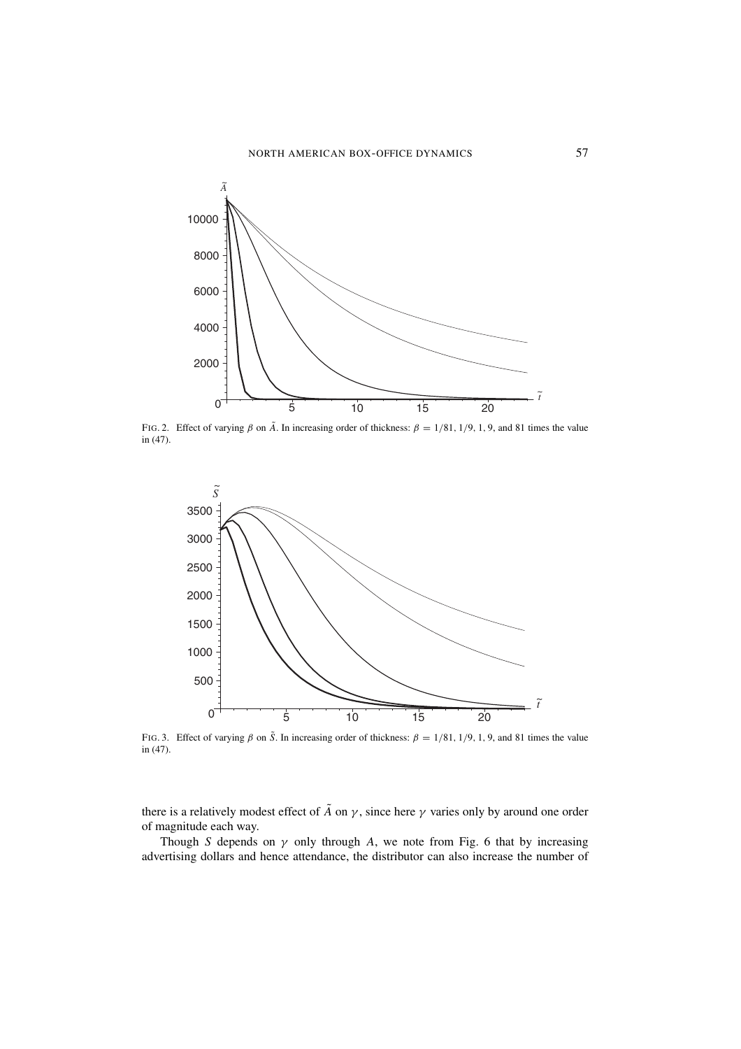

FIG. 2. Effect of varying  $\beta$  on  $\tilde{A}$ . In increasing order of thickness:  $\beta = 1/81, 1/9, 1, 9$ , and 81 times the value in (47).



FIG. 3. Effect of varying  $\beta$  on  $\tilde{S}$ . In increasing order of thickness:  $\beta = 1/81, 1/9, 1, 9$ , and 81 times the value in (47).

there is a relatively modest effect of  $\tilde{A}$  on  $\gamma$ , since here  $\gamma$  varies only by around one order of magnitude each way.

Though *S* depends on  $\gamma$  only through *A*, we note from Fig. 6 that by increasing advertising dollars and hence attendance, the distributor can also increase the number of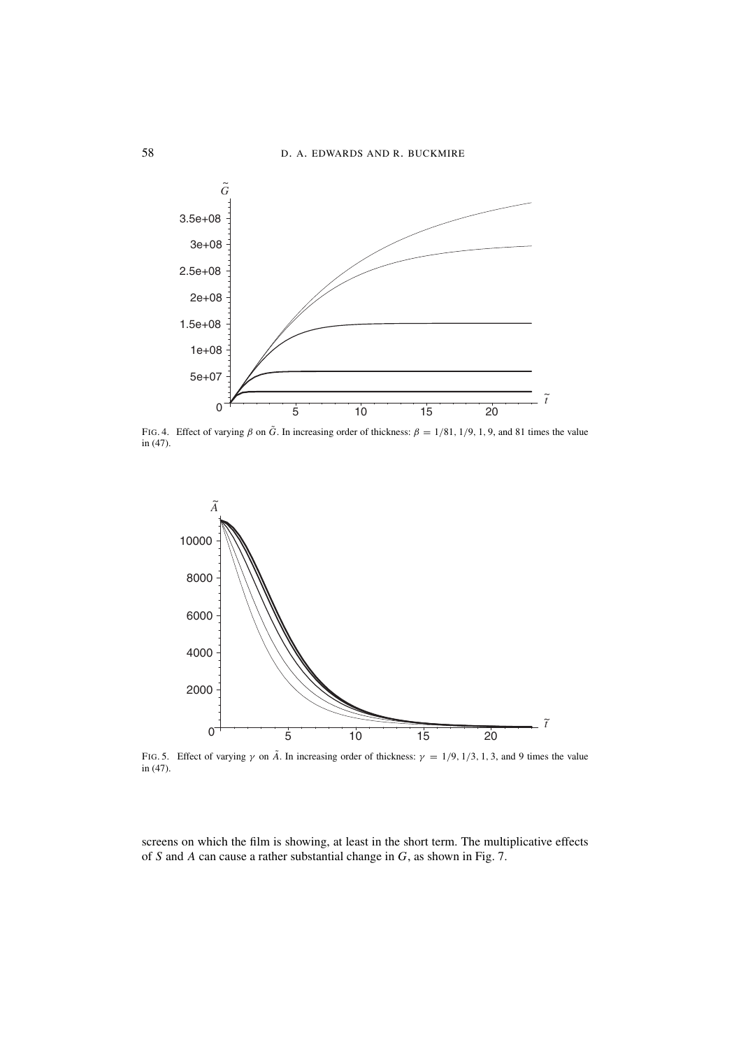

FIG. 4. Effect of varying  $\beta$  on  $\tilde{G}$ . In increasing order of thickness:  $\beta = 1/81, 1/9, 1, 9$ , and 81 times the value in (47).



FIG. 5. Effect of varying  $\gamma$  on  $\tilde{A}$ . In increasing order of thickness:  $\gamma = 1/9, 1/3, 1, 3$ , and 9 times the value in (47).

screens on which the film is showing, at least in the short term. The multiplicative effects of *S* and *A* can cause a rather substantial change in *G*, as shown in Fig. 7.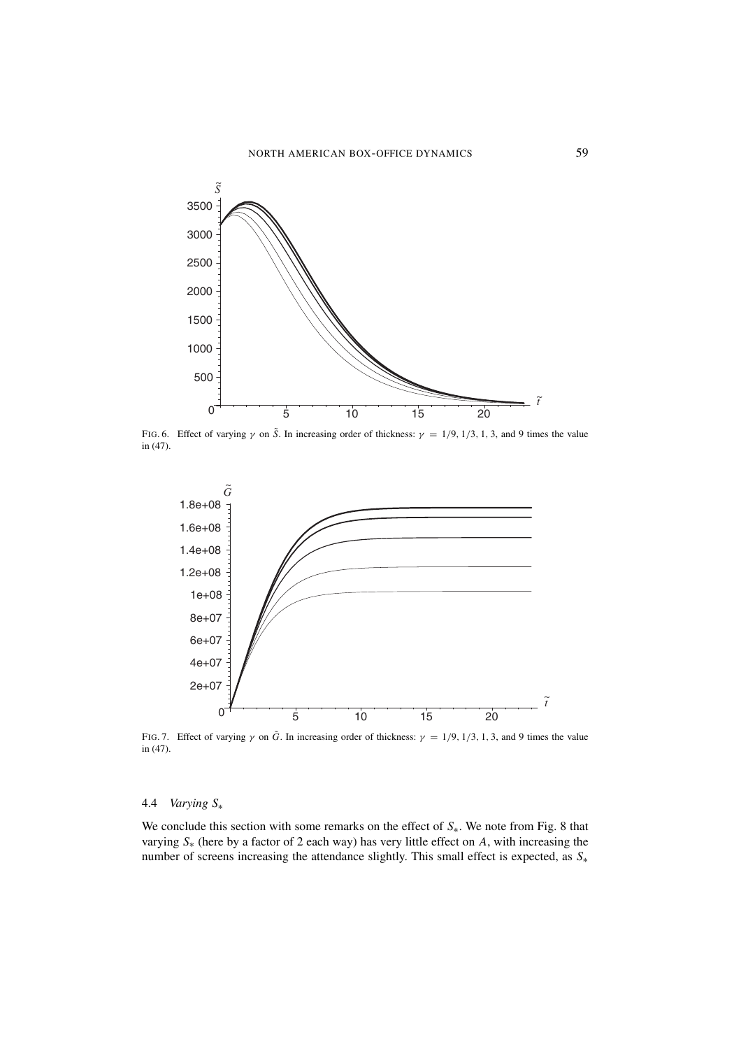

FIG. 6. Effect of varying  $\gamma$  on  $\tilde{S}$ . In increasing order of thickness:  $\gamma = 1/9, 1/3, 1, 3$ , and 9 times the value in (47).



FIG. 7. Effect of varying  $\gamma$  on  $\tilde{G}$ . In increasing order of thickness:  $\gamma = 1/9, 1/3, 1, 3$ , and 9 times the value in (47).

## 4.4 *Varying S*<sup>∗</sup>

We conclude this section with some remarks on the effect of *S*∗. We note from Fig. 8 that varying *S*<sup>∗</sup> (here by a factor of 2 each way) has very little effect on *A*, with increasing the number of screens increasing the attendance slightly. This small effect is expected, as *S*<sup>∗</sup>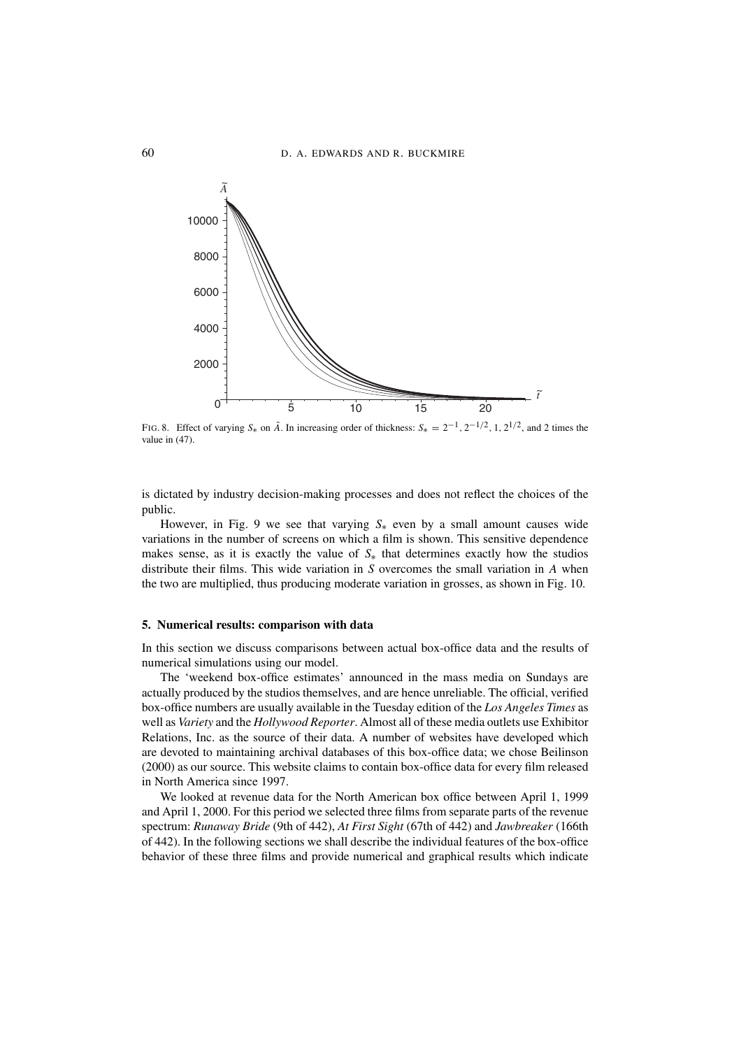

FIG. 8. Effect of varying  $S_*$  on  $\tilde{A}$ . In increasing order of thickness:  $S_* = 2^{-1}$ ,  $2^{-1/2}$ , 1,  $2^{1/2}$ , and 2 times the value in (47).

is dictated by industry decision-making processes and does not reflect the choices of the public.

However, in Fig. 9 we see that varying *S*<sup>∗</sup> even by a small amount causes wide variations in the number of screens on which a film is shown. This sensitive dependence makes sense, as it is exactly the value of *S*<sup>∗</sup> that determines exactly how the studios distribute their films. This wide variation in *S* overcomes the small variation in *A* when the two are multiplied, thus producing moderate variation in grosses, as shown in Fig. 10.

#### **5. Numerical results: comparison with data**

In this section we discuss comparisons between actual box-office data and the results of numerical simulations using our model.

The 'weekend box-office estimates' announced in the mass media on Sundays are actually produced by the studios themselves, and are hence unreliable. The official, verified box-office numbers are usually available in the Tuesday edition of the *Los Angeles Times* as well as *Variety* and the *Hollywood Reporter*. Almost all of these media outlets use Exhibitor Relations, Inc. as the source of their data. A number of websites have developed which are devoted to maintaining archival databases of this box-office data; we chose Beilinson (2000) as our source. This website claims to contain box-office data for every film released in North America since 1997.

We looked at revenue data for the North American box office between April 1, 1999 and April 1, 2000. For this period we selected three films from separate parts of the revenue spectrum: *Runaway Bride* (9th of 442), *At First Sight* (67th of 442) and *Jawbreaker* (166th of 442). In the following sections we shall describe the individual features of the box-office behavior of these three films and provide numerical and graphical results which indicate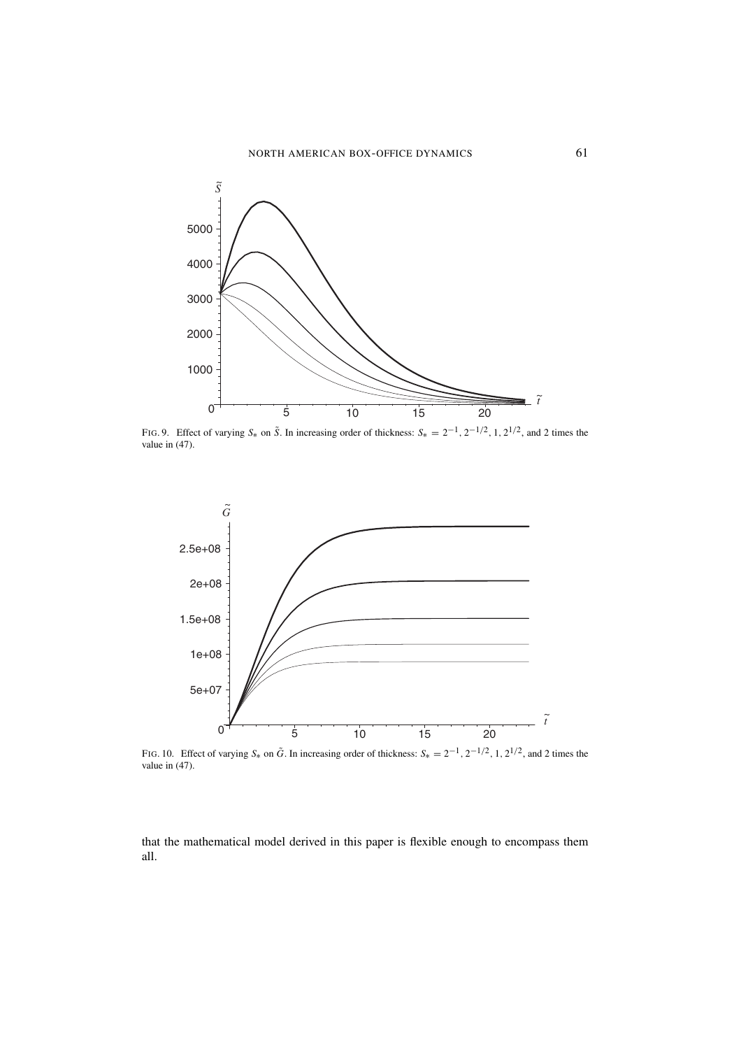

FIG. 9. Effect of varying  $S_*$  on  $\tilde{S}$ . In increasing order of thickness:  $S_* = 2^{-1}$ ,  $2^{-1/2}$ ,  $1$ ,  $2^{1/2}$ , and 2 times the value in (47).



FIG. 10. Effect of varying  $S_*$  on  $\tilde{G}$ . In increasing order of thickness:  $S_* = 2^{-1}$ ,  $2^{-1/2}$ , 1,  $2^{1/2}$ , and 2 times the value in (47).

that the mathematical model derived in this paper is flexible enough to encompass them all.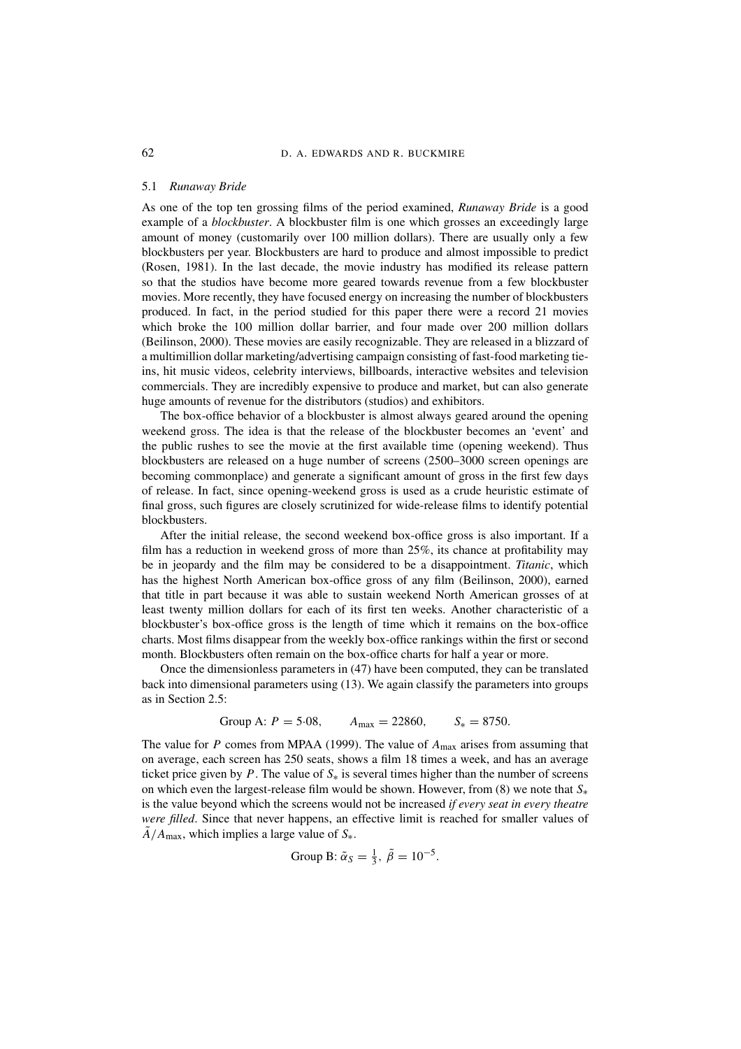#### 5.1 *Runaway Bride*

As one of the top ten grossing films of the period examined, *Runaway Bride* is a good example of a *blockbuster*. A blockbuster film is one which grosses an exceedingly large amount of money (customarily over 100 million dollars). There are usually only a few blockbusters per year. Blockbusters are hard to produce and almost impossible to predict (Rosen, 1981). In the last decade, the movie industry has modified its release pattern so that the studios have become more geared towards revenue from a few blockbuster movies. More recently, they have focused energy on increasing the number of blockbusters produced. In fact, in the period studied for this paper there were a record 21 movies which broke the 100 million dollar barrier, and four made over 200 million dollars (Beilinson, 2000). These movies are easily recognizable. They are released in a blizzard of a multimillion dollar marketing/advertising campaign consisting of fast-food marketing tieins, hit music videos, celebrity interviews, billboards, interactive websites and television commercials. They are incredibly expensive to produce and market, but can also generate huge amounts of revenue for the distributors (studios) and exhibitors.

The box-office behavior of a blockbuster is almost always geared around the opening weekend gross. The idea is that the release of the blockbuster becomes an 'event' and the public rushes to see the movie at the first available time (opening weekend). Thus blockbusters are released on a huge number of screens (2500–3000 screen openings are becoming commonplace) and generate a significant amount of gross in the first few days of release. In fact, since opening-weekend gross is used as a crude heuristic estimate of final gross, such figures are closely scrutinized for wide-release films to identify potential blockbusters.

After the initial release, the second weekend box-office gross is also important. If a film has a reduction in weekend gross of more than 25%, its chance at profitability may be in jeopardy and the film may be considered to be a disappointment. *Titanic*, which has the highest North American box-office gross of any film (Beilinson, 2000), earned that title in part because it was able to sustain weekend North American grosses of at least twenty million dollars for each of its first ten weeks. Another characteristic of a blockbuster's box-office gross is the length of time which it remains on the box-office charts. Most films disappear from the weekly box-office rankings within the first or second month. Blockbusters often remain on the box-office charts for half a year or more.

Once the dimensionless parameters in (47) have been computed, they can be translated back into dimensional parameters using (13). We again classify the parameters into groups as in Section 2.5:

Group A: 
$$
P = 5.08
$$
,  $A_{\text{max}} = 22860$ ,  $S_* = 8750$ .

The value for *P* comes from MPAA (1999). The value of  $A_{\text{max}}$  arises from assuming that on average, each screen has 250 seats, shows a film 18 times a week, and has an average ticket price given by  $P$ . The value of  $S_*$  is several times higher than the number of screens on which even the largest-release film would be shown. However, from (8) we note that *S*<sup>∗</sup> is the value beyond which the screens would not be increased *if every seat in every theatre were filled*. Since that never happens, an effective limit is reached for smaller values of  $\tilde{A}/A_{\text{max}}$ , which implies a large value of  $S_{\ast}$ .

Group B: 
$$
\tilde{\alpha}_S = \frac{1}{3}
$$
,  $\tilde{\beta} = 10^{-5}$ .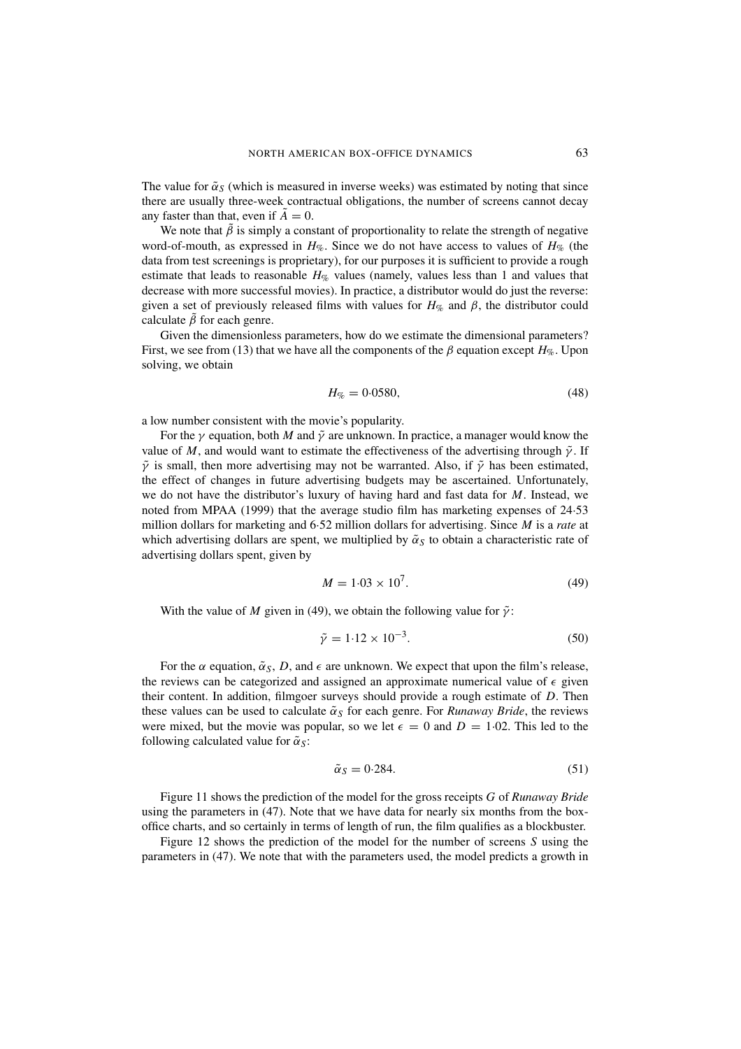The value for  $\tilde{\alpha}_{\rm S}$  (which is measured in inverse weeks) was estimated by noting that since there are usually three-week contractual obligations, the number of screens cannot decay any faster than that, even if  $\tilde{A} = 0$ .

We note that  $\tilde{\beta}$  is simply a constant of proportionality to relate the strength of negative word-of-mouth, as expressed in  $H_{\%}$ . Since we do not have access to values of  $H_{\%}$  (the data from test screenings is proprietary), for our purposes it is sufficient to provide a rough estimate that leads to reasonable  $H_{\%}$  values (namely, values less than 1 and values that decrease with more successful movies). In practice, a distributor would do just the reverse: given a set of previously released films with values for  $H$ % and  $\beta$ , the distributor could calculate  $\tilde{\beta}$  for each genre.

Given the dimensionless parameters, how do we estimate the dimensional parameters? First, we see from (13) that we have all the components of the *β* equation except  $H_{\%}$ . Upon solving, we obtain

$$
H_{\%} = 0.0580, \tag{48}
$$

a low number consistent with the movie's popularity.

For the  $\gamma$  equation, both *M* and  $\tilde{\gamma}$  are unknown. In practice, a manager would know the value of *M*, and would want to estimate the effectiveness of the advertising through  $\tilde{\gamma}$ . If  $\tilde{\gamma}$  is small, then more advertising may not be warranted. Also, if  $\tilde{\gamma}$  has been estimated, the effect of changes in future advertising budgets may be ascertained. Unfortunately, we do not have the distributor's luxury of having hard and fast data for *M*. Instead, we noted from MPAA (1999) that the average studio film has marketing expenses of 24·53 million dollars for marketing and 6·52 million dollars for advertising. Since *M* is a *rate* at which advertising dollars are spent, we multiplied by  $\tilde{\alpha}_S$  to obtain a characteristic rate of advertising dollars spent, given by

$$
M = 1.03 \times 10^7. \tag{49}
$$

With the value of *M* given in (49), we obtain the following value for  $\tilde{\gamma}$ :

$$
\tilde{\gamma} = 1.12 \times 10^{-3}.\tag{50}
$$

For the  $\alpha$  equation,  $\tilde{\alpha}_s$ , *D*, and  $\epsilon$  are unknown. We expect that upon the film's release, the reviews can be categorized and assigned an approximate numerical value of  $\epsilon$  given their content. In addition, filmgoer surveys should provide a rough estimate of *D*. Then these values can be used to calculate  $\tilde{\alpha}_S$  for each genre. For *Runaway Bride*, the reviews were mixed, but the movie was popular, so we let  $\epsilon = 0$  and  $D = 1.02$ . This led to the following calculated value for  $\tilde{\alpha}_s$ :

$$
\tilde{\alpha}_S = 0.284. \tag{51}
$$

Figure 11 shows the prediction of the model for the gross receipts *G* of *Runaway Bride* using the parameters in (47). Note that we have data for nearly six months from the boxoffice charts, and so certainly in terms of length of run, the film qualifies as a blockbuster.

Figure 12 shows the prediction of the model for the number of screens *S* using the parameters in (47). We note that with the parameters used, the model predicts a growth in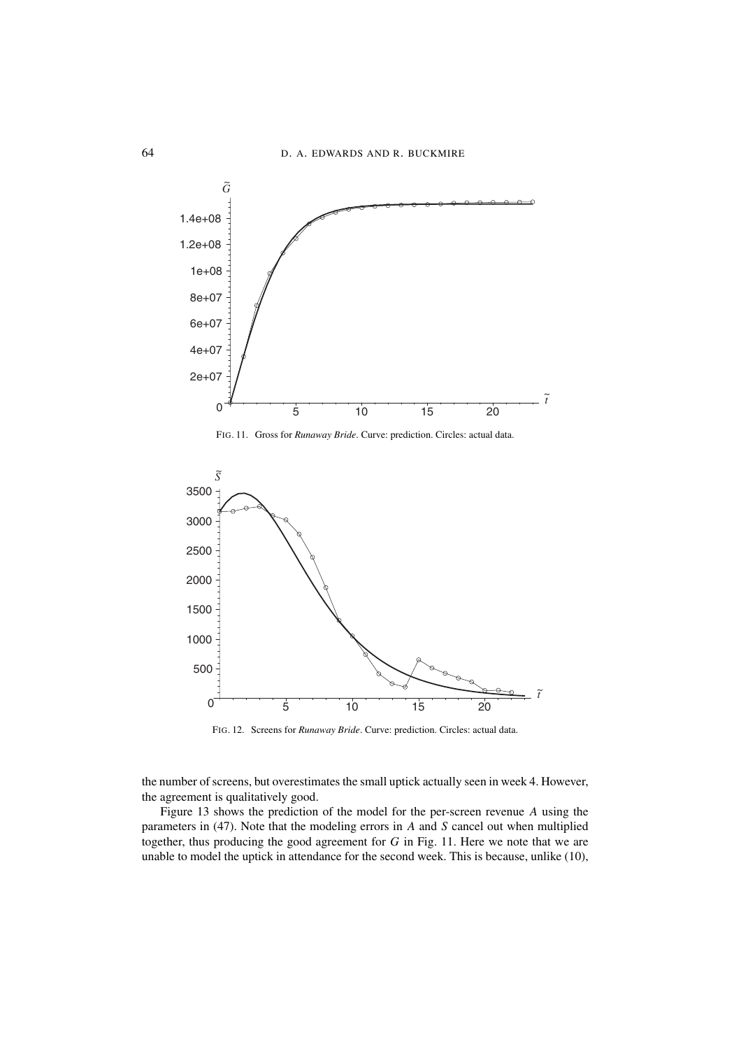





FIG. 12. Screens for *Runaway Bride*. Curve: prediction. Circles: actual data.

the number of screens, but overestimates the small uptick actually seen in week 4. However, the agreement is qualitatively good.

Figure 13 shows the prediction of the model for the per-screen revenue *A* using the parameters in (47). Note that the modeling errors in *A* and *S* cancel out when multiplied together, thus producing the good agreement for *G* in Fig. 11. Here we note that we are unable to model the uptick in attendance for the second week. This is because, unlike (10),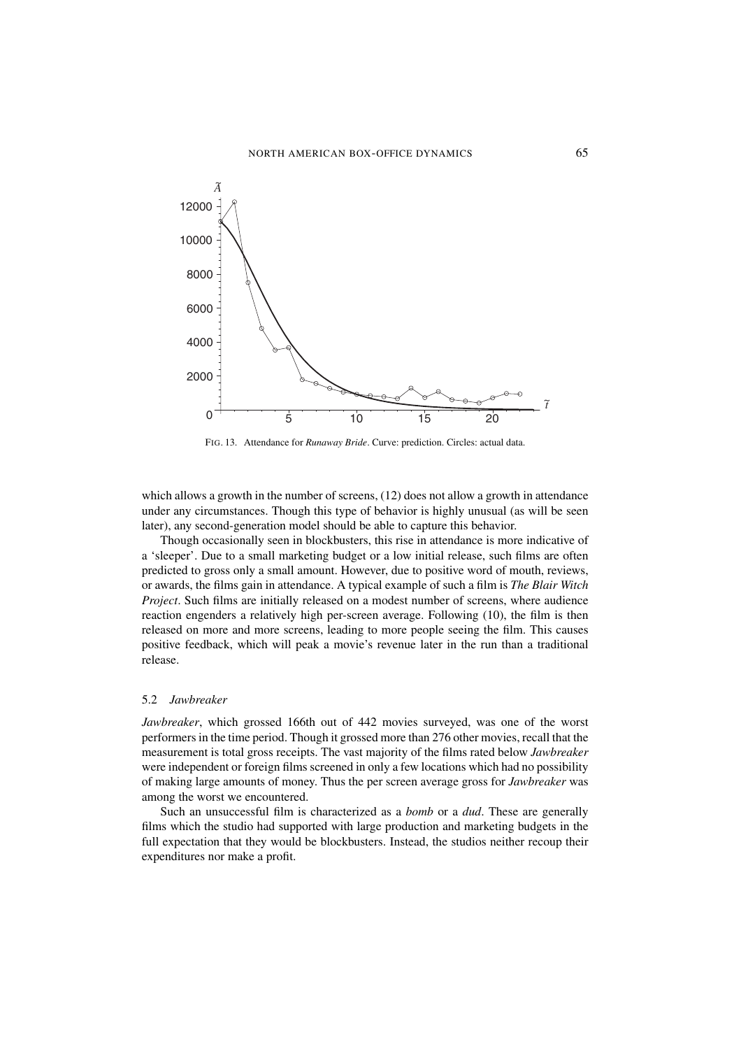

FIG. 13. Attendance for *Runaway Bride*. Curve: prediction. Circles: actual data.

which allows a growth in the number of screens, (12) does not allow a growth in attendance under any circumstances. Though this type of behavior is highly unusual (as will be seen later), any second-generation model should be able to capture this behavior.

Though occasionally seen in blockbusters, this rise in attendance is more indicative of a 'sleeper'. Due to a small marketing budget or a low initial release, such films are often predicted to gross only a small amount. However, due to positive word of mouth, reviews, or awards, the films gain in attendance. A typical example of such a film is *The Blair Witch Project*. Such films are initially released on a modest number of screens, where audience reaction engenders a relatively high per-screen average. Following (10), the film is then released on more and more screens, leading to more people seeing the film. This causes positive feedback, which will peak a movie's revenue later in the run than a traditional release.

#### 5.2 *Jawbreaker*

*Jawbreaker*, which grossed 166th out of 442 movies surveyed, was one of the worst performers in the time period. Though it grossed more than 276 other movies, recall that the measurement is total gross receipts. The vast majority of the films rated below *Jawbreaker* were independent or foreign films screened in only a few locations which had no possibility of making large amounts of money. Thus the per screen average gross for *Jawbreaker* was among the worst we encountered.

Such an unsuccessful film is characterized as a *bomb* or a *dud*. These are generally films which the studio had supported with large production and marketing budgets in the full expectation that they would be blockbusters. Instead, the studios neither recoup their expenditures nor make a profit.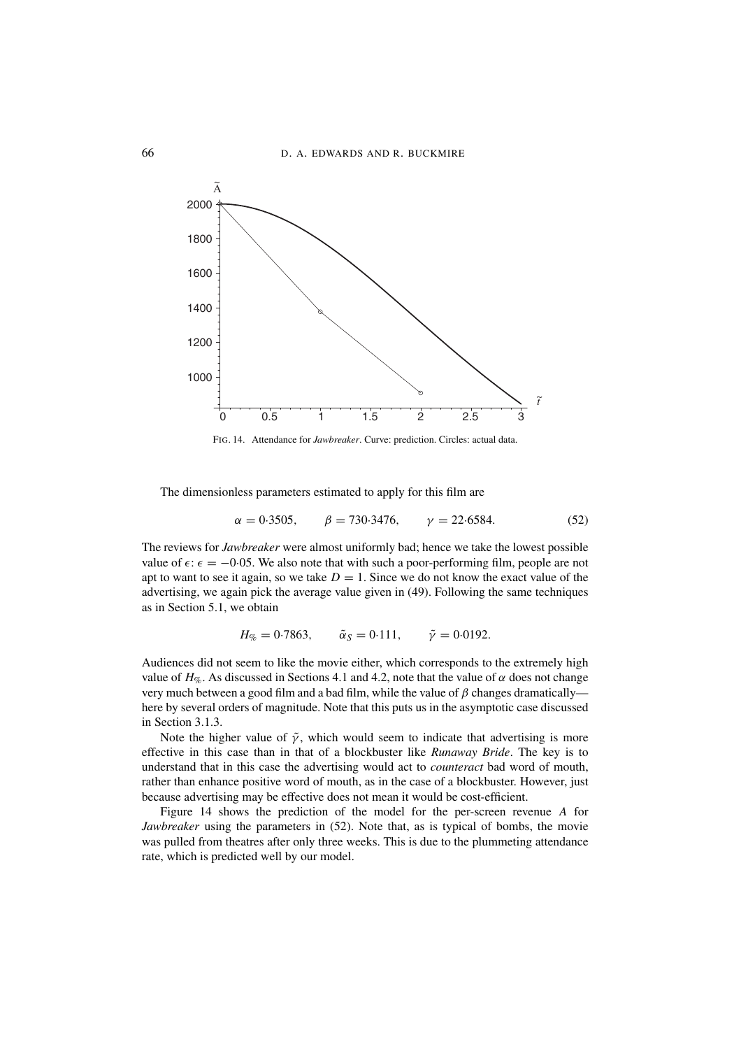66 D. A. EDWARDS AND R. BUCKMIRE



FIG. 14. Attendance for *Jawbreaker*. Curve: prediction. Circles: actual data.

The dimensionless parameters estimated to apply for this film are

$$
\alpha = 0.3505,
$$
\n $\beta = 730.3476,$ \n $\gamma = 22.6584.$ \n(52)

The reviews for *Jawbreaker* were almost uniformly bad; hence we take the lowest possible value of  $\epsilon$ :  $\epsilon = -0.05$ . We also note that with such a poor-performing film, people are not apt to want to see it again, so we take  $D = 1$ . Since we do not know the exact value of the advertising, we again pick the average value given in (49). Following the same techniques as in Section 5.1, we obtain

$$
H_{\%} = 0.7863
$$
,  $\tilde{\alpha}_S = 0.111$ ,  $\tilde{\gamma} = 0.0192$ .

Audiences did not seem to like the movie either, which corresponds to the extremely high value of  $H_{\%}$ . As discussed in Sections 4.1 and 4.2, note that the value of  $\alpha$  does not change very much between a good film and a bad film, while the value of  $\beta$  changes dramatically here by several orders of magnitude. Note that this puts us in the asymptotic case discussed in Section 3.1.3.

Note the higher value of  $\tilde{\gamma}$ , which would seem to indicate that advertising is more effective in this case than in that of a blockbuster like *Runaway Bride*. The key is to understand that in this case the advertising would act to *counteract* bad word of mouth, rather than enhance positive word of mouth, as in the case of a blockbuster. However, just because advertising may be effective does not mean it would be cost-efficient.

Figure 14 shows the prediction of the model for the per-screen revenue *A* for *Jawbreaker* using the parameters in (52). Note that, as is typical of bombs, the movie was pulled from theatres after only three weeks. This is due to the plummeting attendance rate, which is predicted well by our model.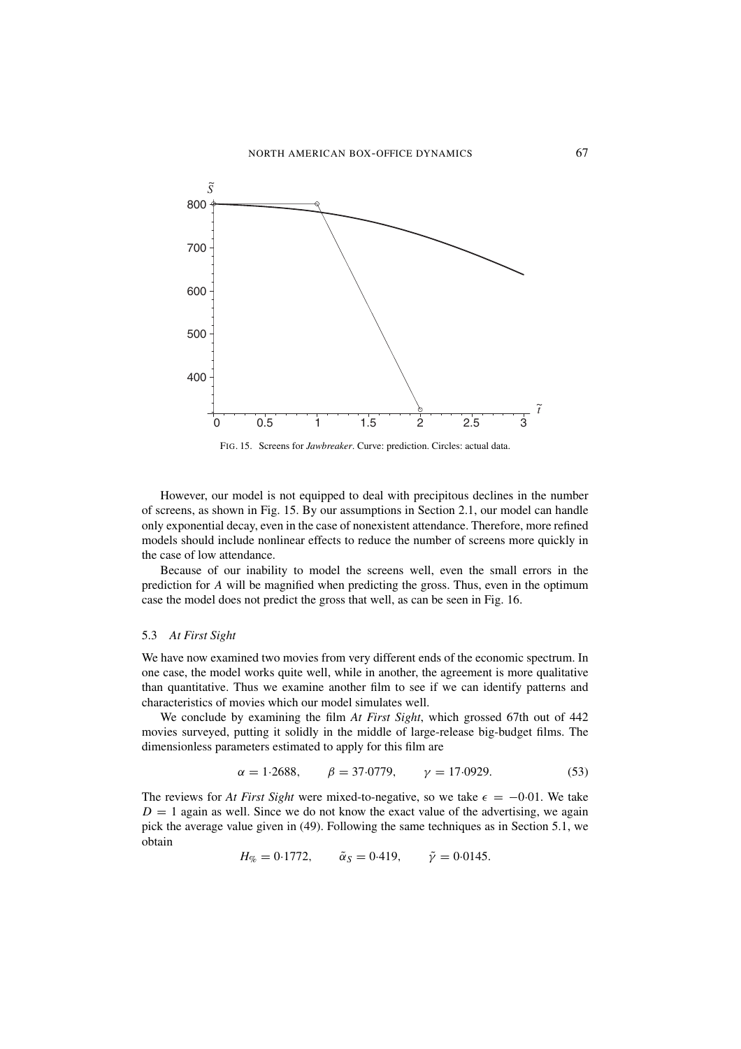

FIG. 15. Screens for *Jawbreaker*. Curve: prediction. Circles: actual data.

However, our model is not equipped to deal with precipitous declines in the number of screens, as shown in Fig. 15. By our assumptions in Section 2.1, our model can handle only exponential decay, even in the case of nonexistent attendance. Therefore, more refined models should include nonlinear effects to reduce the number of screens more quickly in the case of low attendance.

Because of our inability to model the screens well, even the small errors in the prediction for *A* will be magnified when predicting the gross. Thus, even in the optimum case the model does not predict the gross that well, as can be seen in Fig. 16.

#### 5.3 *At First Sight*

We have now examined two movies from very different ends of the economic spectrum. In one case, the model works quite well, while in another, the agreement is more qualitative than quantitative. Thus we examine another film to see if we can identify patterns and characteristics of movies which our model simulates well.

We conclude by examining the film *At First Sight*, which grossed 67th out of 442 movies surveyed, putting it solidly in the middle of large-release big-budget films. The dimensionless parameters estimated to apply for this film are

$$
\alpha = 1.2688,
$$
\n $\beta = 37.0779,$ \n $\gamma = 17.0929.$ \n(53)

The reviews for *At First Sight* were mixed-to-negative, so we take  $\epsilon = -0.01$ . We take  $D = 1$  again as well. Since we do not know the exact value of the advertising, we again pick the average value given in (49). Following the same techniques as in Section 5.1, we obtain

 $H_{\%} = 0.1772$ ,  $\tilde{\alpha}_S = 0.419$ ,  $\tilde{\gamma} = 0.0145$ .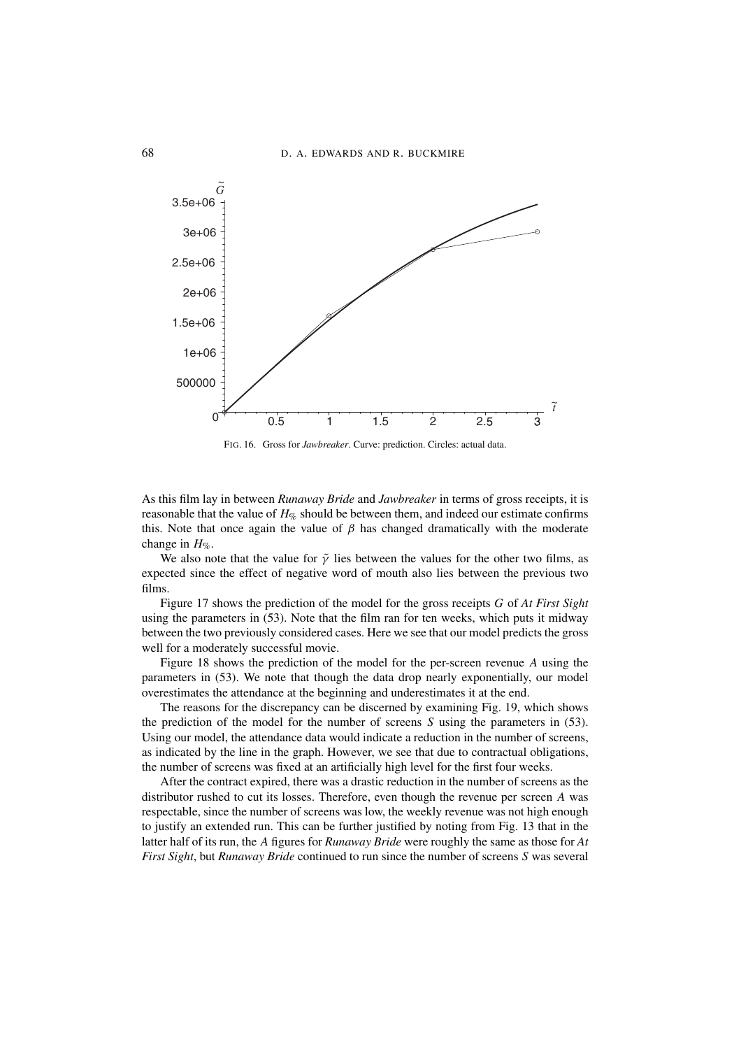



As this film lay in between *Runaway Bride* and *Jawbreaker* in terms of gross receipts, it is reasonable that the value of  $H_{\%}$  should be between them, and indeed our estimate confirms this. Note that once again the value of  $\beta$  has changed dramatically with the moderate change in  $H_{\%}$ .

We also note that the value for  $\tilde{\gamma}$  lies between the values for the other two films, as expected since the effect of negative word of mouth also lies between the previous two films.

Figure 17 shows the prediction of the model for the gross receipts *G* of *At First Sight* using the parameters in (53). Note that the film ran for ten weeks, which puts it midway between the two previously considered cases. Here we see that our model predicts the gross well for a moderately successful movie.

Figure 18 shows the prediction of the model for the per-screen revenue *A* using the parameters in (53). We note that though the data drop nearly exponentially, our model overestimates the attendance at the beginning and underestimates it at the end.

The reasons for the discrepancy can be discerned by examining Fig. 19, which shows the prediction of the model for the number of screens *S* using the parameters in (53). Using our model, the attendance data would indicate a reduction in the number of screens, as indicated by the line in the graph. However, we see that due to contractual obligations, the number of screens was fixed at an artificially high level for the first four weeks.

After the contract expired, there was a drastic reduction in the number of screens as the distributor rushed to cut its losses. Therefore, even though the revenue per screen *A* was respectable, since the number of screens was low, the weekly revenue was not high enough to justify an extended run. This can be further justified by noting from Fig. 13 that in the latter half of its run, the *A* figures for *Runaway Bride* were roughly the same as those for *At First Sight*, but *Runaway Bride* continued to run since the number of screens *S* was several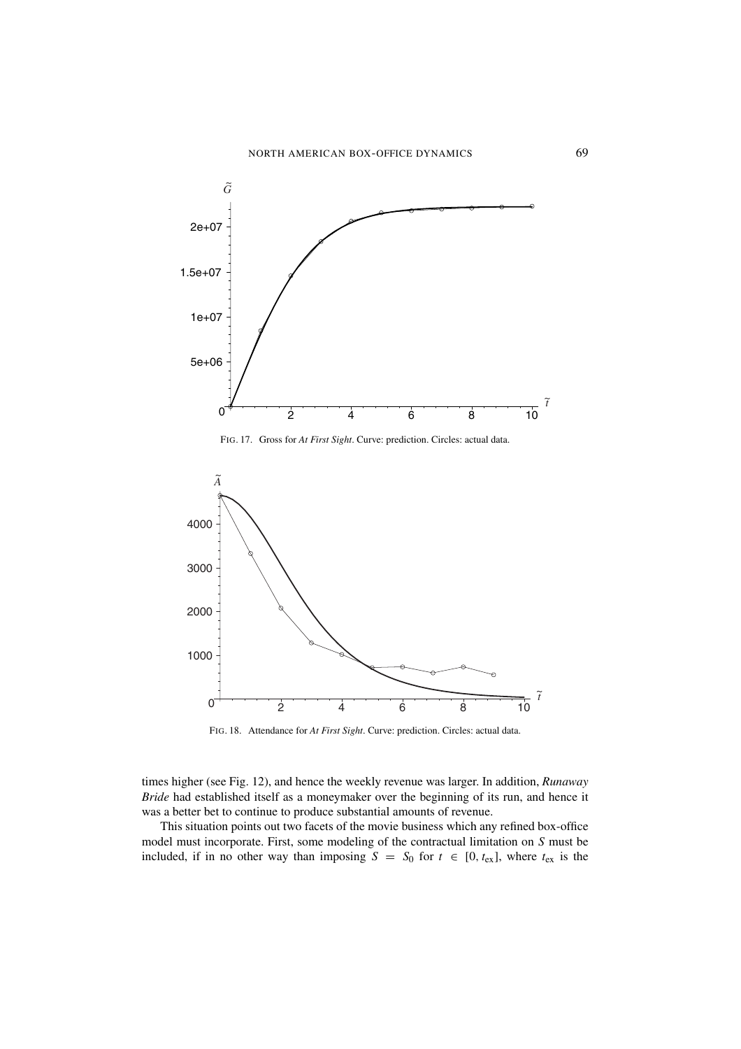

FIG. 17. Gross for *At First Sight*. Curve: prediction. Circles: actual data.



FIG. 18. Attendance for *At First Sight*. Curve: prediction. Circles: actual data.

times higher (see Fig. 12), and hence the weekly revenue was larger. In addition, *Runaway Bride* had established itself as a moneymaker over the beginning of its run, and hence it was a better bet to continue to produce substantial amounts of revenue.

This situation points out two facets of the movie business which any refined box-office model must incorporate. First, some modeling of the contractual limitation on *S* must be included, if in no other way than imposing  $S = S_0$  for  $t \in [0, t_{ex}]$ , where  $t_{ex}$  is the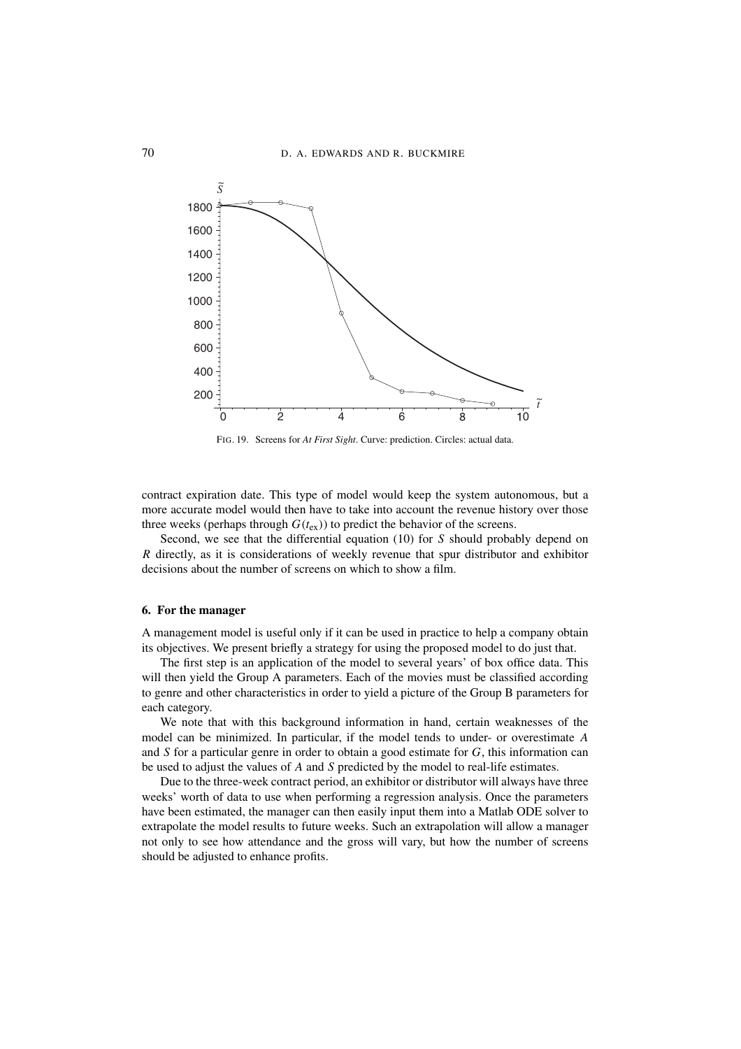

FIG. 19. Screens for *At First Sight*. Curve: prediction. Circles: actual data.

contract expiration date. This type of model would keep the system autonomous, but a more accurate model would then have to take into account the revenue history over those three weeks (perhaps through  $G(t_{ex})$ ) to predict the behavior of the screens.

Second, we see that the differential equation (10) for *S* should probably depend on *R* directly, as it is considerations of weekly revenue that spur distributor and exhibitor decisions about the number of screens on which to show a film.

### **6. For the manager**

A management model is useful only if it can be used in practice to help a company obtain its objectives. We present briefly a strategy for using the proposed model to do just that.

The first step is an application of the model to several years' of box office data. This will then yield the Group A parameters. Each of the movies must be classified according to genre and other characteristics in order to yield a picture of the Group B parameters for each category.

We note that with this background information in hand, certain weaknesses of the model can be minimized. In particular, if the model tends to under- or overestimate *A* and *S* for a particular genre in order to obtain a good estimate for *G*, this information can be used to adjust the values of *A* and *S* predicted by the model to real-life estimates.

Due to the three-week contract period, an exhibitor or distributor will always have three weeks' worth of data to use when performing a regression analysis. Once the parameters have been estimated, the manager can then easily input them into a Matlab ODE solver to extrapolate the model results to future weeks. Such an extrapolation will allow a manager not only to see how attendance and the gross will vary, but how the number of screens should be adjusted to enhance profits.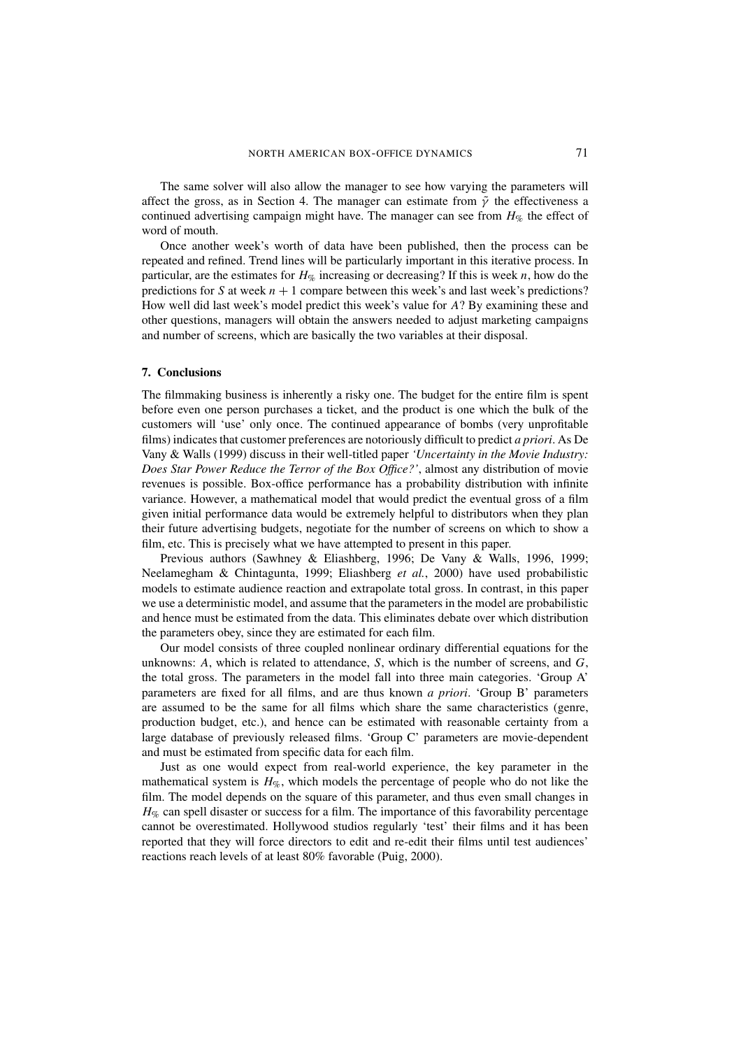The same solver will also allow the manager to see how varying the parameters will affect the gross, as in Section 4. The manager can estimate from  $\tilde{\gamma}$  the effectiveness a continued advertising campaign might have. The manager can see from  $H_{\%}$  the effect of word of mouth.

Once another week's worth of data have been published, then the process can be repeated and refined. Trend lines will be particularly important in this iterative process. In particular, are the estimates for  $H_{\%}$  increasing or decreasing? If this is week *n*, how do the predictions for *S* at week  $n + 1$  compare between this week's and last week's predictions? How well did last week's model predict this week's value for *A*? By examining these and other questions, managers will obtain the answers needed to adjust marketing campaigns and number of screens, which are basically the two variables at their disposal.

#### **7. Conclusions**

The filmmaking business is inherently a risky one. The budget for the entire film is spent before even one person purchases a ticket, and the product is one which the bulk of the customers will 'use' only once. The continued appearance of bombs (very unprofitable films) indicates that customer preferences are notoriously difficult to predict *a priori*. As De Vany & Walls (1999) discuss in their well-titled paper *'Uncertainty in the Movie Industry: Does Star Power Reduce the Terror of the Box Office?'*, almost any distribution of movie revenues is possible. Box-office performance has a probability distribution with infinite variance. However, a mathematical model that would predict the eventual gross of a film given initial performance data would be extremely helpful to distributors when they plan their future advertising budgets, negotiate for the number of screens on which to show a film, etc. This is precisely what we have attempted to present in this paper.

Previous authors (Sawhney & Eliashberg, 1996; De Vany & Walls, 1996, 1999; Neelamegham & Chintagunta, 1999; Eliashberg *et al.*, 2000) have used probabilistic models to estimate audience reaction and extrapolate total gross. In contrast, in this paper we use a deterministic model, and assume that the parameters in the model are probabilistic and hence must be estimated from the data. This eliminates debate over which distribution the parameters obey, since they are estimated for each film.

Our model consists of three coupled nonlinear ordinary differential equations for the unknowns: *A*, which is related to attendance, *S*, which is the number of screens, and *G*, the total gross. The parameters in the model fall into three main categories. 'Group A' parameters are fixed for all films, and are thus known *a priori*. 'Group B' parameters are assumed to be the same for all films which share the same characteristics (genre, production budget, etc.), and hence can be estimated with reasonable certainty from a large database of previously released films. 'Group C' parameters are movie-dependent and must be estimated from specific data for each film.

Just as one would expect from real-world experience, the key parameter in the mathematical system is  $H_{\%}$ , which models the percentage of people who do not like the film. The model depends on the square of this parameter, and thus even small changes in  $H_{\%}$  can spell disaster or success for a film. The importance of this favorability percentage cannot be overestimated. Hollywood studios regularly 'test' their films and it has been reported that they will force directors to edit and re-edit their films until test audiences' reactions reach levels of at least 80% favorable (Puig, 2000).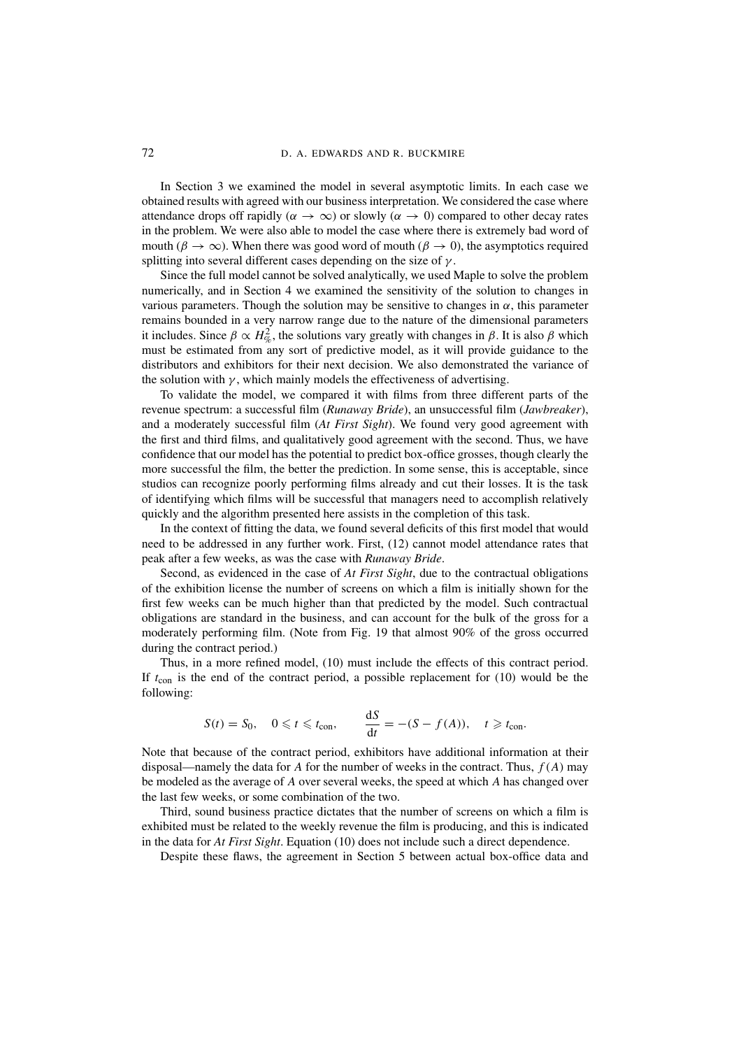In Section 3 we examined the model in several asymptotic limits. In each case we obtained results with agreed with our business interpretation. We considered the case where attendance drops off rapidly ( $\alpha \to \infty$ ) or slowly ( $\alpha \to 0$ ) compared to other decay rates in the problem. We were also able to model the case where there is extremely bad word of mouth ( $\beta \to \infty$ ). When there was good word of mouth ( $\beta \to 0$ ), the asymptotics required splitting into several different cases depending on the size of  $\gamma$ .

Since the full model cannot be solved analytically, we used Maple to solve the problem numerically, and in Section 4 we examined the sensitivity of the solution to changes in various parameters. Though the solution may be sensitive to changes in  $\alpha$ , this parameter remains bounded in a very narrow range due to the nature of the dimensional parameters it includes. Since  $\beta \propto H_{\%}^2$ , the solutions vary greatly with changes in  $\beta$ . It is also  $\beta$  which must be estimated from any sort of predictive model, as it will provide guidance to the distributors and exhibitors for their next decision. We also demonstrated the variance of the solution with  $\gamma$ , which mainly models the effectiveness of advertising.

To validate the model, we compared it with films from three different parts of the revenue spectrum: a successful film (*Runaway Bride*), an unsuccessful film (*Jawbreaker*), and a moderately successful film (*At First Sight*). We found very good agreement with the first and third films, and qualitatively good agreement with the second. Thus, we have confidence that our model has the potential to predict box-office grosses, though clearly the more successful the film, the better the prediction. In some sense, this is acceptable, since studios can recognize poorly performing films already and cut their losses. It is the task of identifying which films will be successful that managers need to accomplish relatively quickly and the algorithm presented here assists in the completion of this task.

In the context of fitting the data, we found several deficits of this first model that would need to be addressed in any further work. First, (12) cannot model attendance rates that peak after a few weeks, as was the case with *Runaway Bride*.

Second, as evidenced in the case of *At First Sight*, due to the contractual obligations of the exhibition license the number of screens on which a film is initially shown for the first few weeks can be much higher than that predicted by the model. Such contractual obligations are standard in the business, and can account for the bulk of the gross for a moderately performing film. (Note from Fig. 19 that almost 90% of the gross occurred during the contract period.)

Thus, in a more refined model, (10) must include the effects of this contract period. If  $t_{\rm con}$  is the end of the contract period, a possible replacement for (10) would be the following:

$$
S(t) = S_0, \quad 0 \leq t \leq t_{\text{con}}, \qquad \frac{\mathrm{d}S}{\mathrm{d}t} = -(S - f(A)), \quad t \geq t_{\text{con}}.
$$

Note that because of the contract period, exhibitors have additional information at their disposal—namely the data for *A* for the number of weeks in the contract. Thus, *f* (*A*) may be modeled as the average of *A* over several weeks, the speed at which *A* has changed over the last few weeks, or some combination of the two.

Third, sound business practice dictates that the number of screens on which a film is exhibited must be related to the weekly revenue the film is producing, and this is indicated in the data for *At First Sight*. Equation (10) does not include such a direct dependence.

Despite these flaws, the agreement in Section 5 between actual box-office data and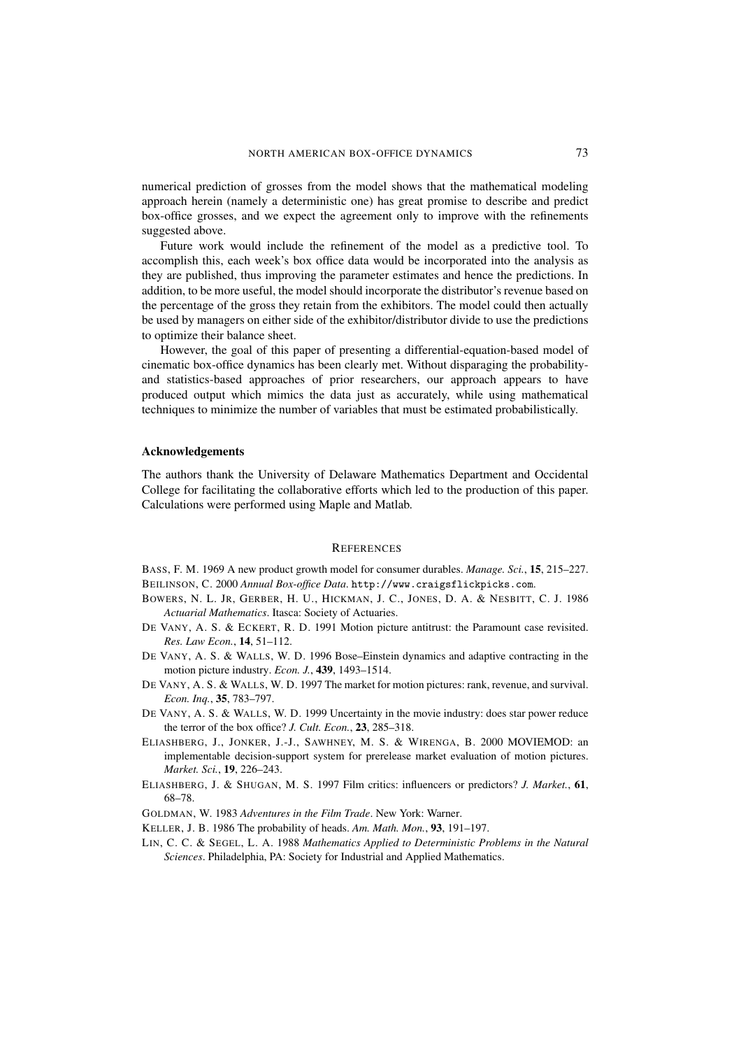numerical prediction of grosses from the model shows that the mathematical modeling approach herein (namely a deterministic one) has great promise to describe and predict box-office grosses, and we expect the agreement only to improve with the refinements suggested above.

Future work would include the refinement of the model as a predictive tool. To accomplish this, each week's box office data would be incorporated into the analysis as they are published, thus improving the parameter estimates and hence the predictions. In addition, to be more useful, the model should incorporate the distributor's revenue based on the percentage of the gross they retain from the exhibitors. The model could then actually be used by managers on either side of the exhibitor/distributor divide to use the predictions to optimize their balance sheet.

However, the goal of this paper of presenting a differential-equation-based model of cinematic box-office dynamics has been clearly met. Without disparaging the probabilityand statistics-based approaches of prior researchers, our approach appears to have produced output which mimics the data just as accurately, while using mathematical techniques to minimize the number of variables that must be estimated probabilistically.

#### **Acknowledgements**

The authors thank the University of Delaware Mathematics Department and Occidental College for facilitating the collaborative efforts which led to the production of this paper. Calculations were performed using Maple and Matlab.

#### **REFERENCES**

BASS, F. M. 1969 A new product growth model for consumer durables. *Manage. Sci.*, **15**, 215–227. BEILINSON, C. 2000 *Annual Box-office Data*. http://www.craigsflickpicks.com.

- BOWERS, N. L. JR, GERBER, H. U., HICKMAN, J. C., JONES, D. A. & NESBITT, C. J. 1986 *Actuarial Mathematics*. Itasca: Society of Actuaries.
- DE VANY, A. S. & ECKERT, R. D. 1991 Motion picture antitrust: the Paramount case revisited. *Res. Law Econ.*, **14**, 51–112.
- DE VANY, A. S. & WALLS, W. D. 1996 Bose–Einstein dynamics and adaptive contracting in the motion picture industry. *Econ. J.*, **439**, 1493–1514.
- DE VANY, A. S. & WALLS, W. D. 1997 The market for motion pictures: rank, revenue, and survival. *Econ. Inq.*, **35**, 783–797.
- DE VANY, A. S. & WALLS, W. D. 1999 Uncertainty in the movie industry: does star power reduce the terror of the box office? *J. Cult. Econ.*, **23**, 285–318.
- ELIASHBERG, J., JONKER, J.-J., SAWHNEY, M. S. & WIRENGA, B. 2000 MOVIEMOD: an implementable decision-support system for prerelease market evaluation of motion pictures. *Market. Sci.*, **19**, 226–243.
- ELIASHBERG, J. & SHUGAN, M. S. 1997 Film critics: influencers or predictors? *J. Market.*, **61**, 68–78.
- GOLDMAN, W. 1983 *Adventures in the Film Trade*. New York: Warner.
- KELLER, J. B. 1986 The probability of heads. *Am. Math. Mon.*, **93**, 191–197.
- LIN, C. C. & SEGEL, L. A. 1988 *Mathematics Applied to Deterministic Problems in the Natural Sciences*. Philadelphia, PA: Society for Industrial and Applied Mathematics.